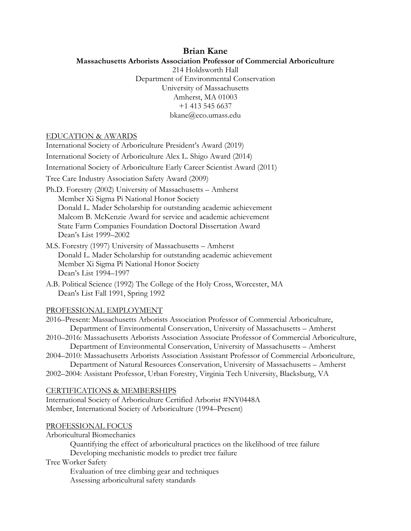# **Brian Kane**

## **Massachusetts Arborists Association Professor of Commercial Arboriculture**

214 Holdsworth Hall Department of Environmental Conservation University of Massachusetts Amherst, MA 01003 +1 413 545 6637 bkane@eco.umass.edu

### EDUCATION & AWARDS

International Society of Arboriculture President's Award (2019) International Society of Arboriculture Alex L. Shigo Award (2014) International Society of Arboriculture Early Career Scientist Award (2011) Tree Care Industry Association Safety Award (2009) Ph.D. Forestry (2002) University of Massachusetts – Amherst Member Xi Sigma Pi National Honor Society Donald L. Mader Scholarship for outstanding academic achievement Malcom B. McKenzie Award for service and academic achievement State Farm Companies Foundation Doctoral Dissertation Award Dean's List 1999–2002 M.S. Forestry (1997) University of Massachusetts – Amherst Donald L. Mader Scholarship for outstanding academic achievement Member Xi Sigma Pi National Honor Society Dean's List 1994–1997 A.B. Political Science (1992) The College of the Holy Cross, Worcester, MA Dean's List Fall 1991, Spring 1992 PROFESSIONAL EMPLOYMENT 2016–Present: Massachusetts Arborists Association Professor of Commercial Arboriculture, Department of Environmental Conservation, University of Massachusetts – Amherst 2010–2016: Massachusetts Arborists Association Associate Professor of Commercial Arboriculture, Department of Environmental Conservation, University of Massachusetts – Amherst 2004–2010: Massachusetts Arborists Association Assistant Professor of Commercial Arboriculture, Department of Natural Resources Conservation, University of Massachusetts – Amherst 2002–2004: Assistant Professor, Urban Forestry, Virginia Tech University, Blacksburg, VA CERTIFICATIONS & MEMBERSHIPS International Society of Arboriculture Certified Arborist #NY0448A Member, International Society of Arboriculture (1994–Present) PROFESSIONAL FOCUS Arboricultural Biomechanics Quantifying the effect of arboricultural practices on the likelihood of tree failure Developing mechanistic models to predict tree failure Tree Worker Safety

Evaluation of tree climbing gear and techniques

Assessing arboricultural safety standards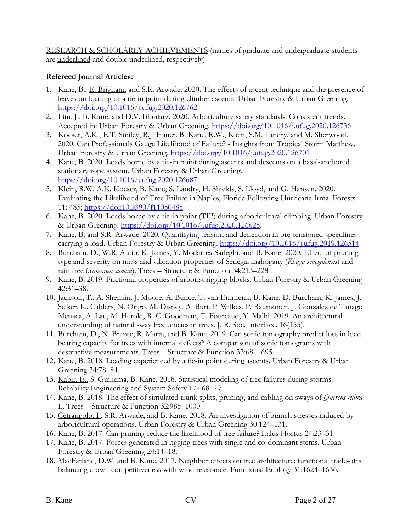RESEARCH & SCHOLARLY ACHIEVEMENTS (names of graduate and undergraduate students are underlined and double underlined, respectively)

# **Refereed Journal Articles:**

- 1. Kane, B., E. Brigham, and S.R. Arwade. 2020. The effects of ascent technique and the presence of leaves on loading of a tie-in point during climber ascents. Urban Forestry & Urban Greening. https://doi.org/10.1016/j.ufug.2020.126762
- 2. Lim, I., B. Kane, and D.V. Bloniarz. 2020. Arboriculture safety standards: Consistent trends. Accepted in: Urban Forestry & Urban Greening. https://doi.org/10.1016/j.ufug.2020.126736
- 3. Koeser, A.K., E.T. Smiley, R.J. Hauer. B. Kane, R.W., Klein, S.M. Landry. and M. Sherwood. 2020. Can Professionals Gauge Likelihood of Failure? - Insights from Tropical Storm Matthew. Urban Forestry & Urban Greening. https://doi.org/10.1016/j.ufug.2020.126701
- 4. Kane, B. 2020. Loads borne by a tie-in point during ascents and descents on a basal-anchored stationary rope system. Urban Forestry & Urban Greening. https://doi.org/10.1016/j.ufug.2020.126687
- 5. Klein, R.W. A.K. Koeser, B. Kane, S. Landry, H. Shields, S. Lloyd, and G. Hansen. 2020. Evaluating the Likelihood of Tree Failure in Naples, Florida Following Hurricane Irma. Forests 11: 485; https://doi:10.3390/f11050485.
- 6. Kane, B. 2020. Loads borne by a tie-in point (TIP) during arboricultural climbing. Urban Forestry & Urban Greening. https://doi.org/10.1016/j.ufug.2020.126625.
- 7. Kane, B. and S.R. Arwade. 2020. Quantifying tension and deflection in pre-tensioned speedlines carrying a load. Urban Forestry & Urban Greening. https://doi.org/10.1016/j.ufug.2019.126514.
- 8. Burcham, D., W.R. Autio, K. James, Y. Modarres-Sadeghi, and B. Kane. 2020. Effect of pruning type and severity on mass and vibration properties of Senegal mahogany (*Khaya senegalensis*) and rain tree (*Samanea saman*). Trees – Structure & Function 34:213–228 .
- 9. Kane, B. 2019. Frictional properties of arborist rigging blocks. Urban Forestry & Urban Greening 42:31–38.
- 10. Jackson, T., A. Shenkin, J. Moore, A. Bunce, T. van Emmerik, B. Kane, D. Burcham, K. James, J. Selker, K. Calders, N. Origo, M. Disney, A. Burt, P. Wilkes, P. Raumonen, J. Gonzalez de Tanago Menaca, A. Lau, M. Herold, R. C. Goodman, T. Fourcaud, Y. Malhi. 2019. An architectural understanding of natural sway frequencies in trees. J. R. Soc. Interface. 16(155).
- 11. Burcham, D., N. Brazee, R. Marra, and B. Kane. 2019. Can sonic tomography predict loss in loadbearing capacity for trees with internal defects? A comparison of sonic tomograms with destructive measurements. Trees – Structure & Function 33:681–695.
- 12. Kane, B. 2018. Loading experienced by a tie-in point during ascents. Urban Forestry & Urban Greening 34:78–84.
- 13. Kabir, E., S. Guikema, B. Kane. 2018. Statistical modeling of tree failures during storms. Reliability Engineering and System Safety 177:68–79.
- 14. Kane, B. 2018. The effect of simulated trunk splits, pruning, and cabling on sways of *Quercus rubra* L. Trees – Structure & Function 32:985–1000.
- 15. Cetrangolo, I., S.R. Arwade, and B. Kane. 2018. An investigation of branch stresses induced by arboricultural operations. Urban Forestry & Urban Greening 30:124–131.
- 16. Kane, B. 2017. Can pruning reduce the likelihood of tree failure? Italus Hortus 24:23–31.
- 17. Kane, B. 2017. Forces generated in rigging trees with single and co-dominant stems. Urban Forestry & Urban Greening 24:14–18.
- 18. MacFarlane, D.W. and B. Kane. 2017. Neighbor effects on tree architecture: functional trade-offs balancing crown competitiveness with wind resistance. Functional Ecology 31:1624–1636.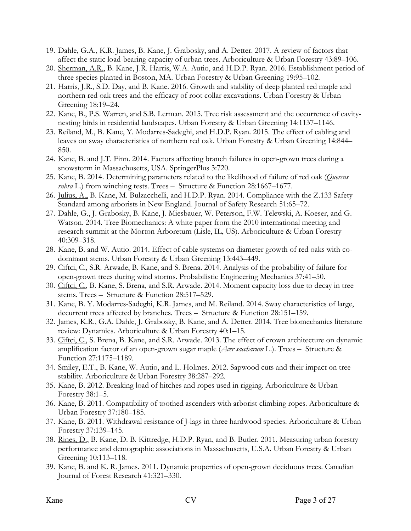- 19. Dahle, G.A., K.R. James, B. Kane, J. Grabosky, and A. Detter. 2017. A review of factors that affect the static load-bearing capacity of urban trees. Arboriculture & Urban Forestry 43:89–106.
- 20. Sherman, A.R., B. Kane, J.R. Harris, W.A. Autio, and H.D.P. Ryan. 2016. Establishment period of three species planted in Boston, MA. Urban Forestry & Urban Greening 19:95–102.
- 21. Harris, J.R., S.D. Day, and B. Kane. 2016. Growth and stability of deep planted red maple and northern red oak trees and the efficacy of root collar excavations. Urban Forestry & Urban Greening 18:19–24.
- 22. Kane, B., P.S. Warren, and S.B. Lerman. 2015. Tree risk assessment and the occurrence of cavitynesting birds in residential landscapes. Urban Forestry & Urban Greening 14:1137–1146.
- 23. Reiland, M., B. Kane, Y. Modarres-Sadeghi, and H.D.P. Ryan. 2015. The effect of cabling and leaves on sway characteristics of northern red oak. Urban Forestry & Urban Greening 14:844– 850.
- 24. Kane, B. and J.T. Finn. 2014. Factors affecting branch failures in open-grown trees during a snowstorm in Massachusetts, USA. SpringerPlus 3:720.
- 25. Kane, B. 2014. Determining parameters related to the likelihood of failure of red oak (*Quercus rubra* L.) from winching tests. Trees – Structure & Function 28:1667–1677.
- 26. Julius, A., B. Kane, M. Bulzacchelli, and H.D.P. Ryan. 2014. Compliance with the Z.133 Safety Standard among arborists in New England. Journal of Safety Research 51:65–72.
- 27. Dahle, G., J. Grabosky, B. Kane, J. Miesbauer, W. Peterson, F.W. Telewski, A. Koeser, and G. Watson. 2014. Tree Biomechanics: A white paper from the 2010 international meeting and research summit at the Morton Arboretum (Lisle, IL, US). Arboriculture & Urban Forestry 40:309–318.
- 28. Kane, B. and W. Autio. 2014. Effect of cable systems on diameter growth of red oaks with codominant stems. Urban Forestry & Urban Greening 13:443–449.
- 29. Ciftci, C., S.R. Arwade, B. Kane, and S. Brena. 2014. Analysis of the probability of failure for open-grown trees during wind storms. Probabilistic Engineering Mechanics 37:41–50.
- 30. Ciftci, C., B. Kane, S. Brena, and S.R. Arwade. 2014. Moment capacity loss due to decay in tree stems. Trees – Structure & Function 28:517–529.
- 31. Kane, B. Y. Modarres-Sadeghi, K.R. James, and M. Reiland. 2014. Sway characteristics of large, decurrent trees affected by branches. Trees – Structure & Function 28:151–159.
- 32. James, K.R., G.A. Dahle, J. Grabosky, B. Kane, and A. Detter. 2014. Tree biomechanics literature review: Dynamics. Arboriculture & Urban Forestry 40:1–15.
- 33. Ciftci, C., S. Brena, B. Kane, and S.R. Arwade. 2013. The effect of crown architecture on dynamic amplification factor of an open-grown sugar maple (*Acer saccharum* L.). Trees – Structure & Function 27:1175–1189.
- 34. Smiley, E.T., B. Kane, W. Autio, and L. Holmes. 2012. Sapwood cuts and their impact on tree stability. Arboriculture & Urban Forestry 38:287–292.
- 35. Kane, B. 2012. Breaking load of hitches and ropes used in rigging. Arboriculture & Urban Forestry 38:1–5.
- 36. Kane, B. 2011. Compatibility of toothed ascenders with arborist climbing ropes. Arboriculture & Urban Forestry 37:180–185.
- 37. Kane, B. 2011. Withdrawal resistance of J-lags in three hardwood species. Arboriculture & Urban Forestry 37:139–145.
- 38. Rines, D., B. Kane, D. B. Kittredge, H.D.P. Ryan, and B. Butler. 2011. Measuring urban forestry performance and demographic associations in Massachusetts, U.S.A. Urban Forestry & Urban Greening 10:113–118.
- 39. Kane, B. and K. R. James. 2011. Dynamic properties of open-grown deciduous trees. Canadian Journal of Forest Research 41:321–330.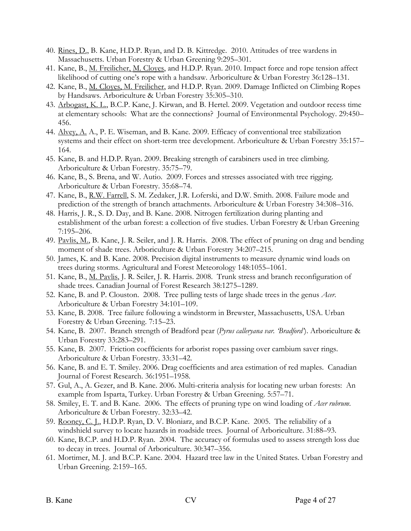- 40. Rines, D., B. Kane, H.D.P. Ryan, and D. B. Kittredge. 2010. Attitudes of tree wardens in Massachusetts. Urban Forestry & Urban Greening 9:295–301.
- 41. Kane, B., M. Freilicher, M. Cloyes, and H.D.P. Ryan. 2010. Impact force and rope tension affect likelihood of cutting one's rope with a handsaw. Arboriculture & Urban Forestry 36:128–131.
- 42. Kane, B., M. Cloyes, M. Freilicher, and H.D.P. Ryan. 2009. Damage Inflicted on Climbing Ropes by Handsaws. Arboriculture & Urban Forestry 35:305–310.
- 43. Arbogast, K. L., B.C.P. Kane, J. Kirwan, and B. Hertel. 2009. Vegetation and outdoor recess time at elementary schools: What are the connections? Journal of Environmental Psychology. 29:450– 456.
- 44. Alvey, A. A., P. E. Wiseman, and B. Kane. 2009. Efficacy of conventional tree stabilization systems and their effect on short-term tree development. Arboriculture & Urban Forestry 35:157– 164.
- 45. Kane, B. and H.D.P. Ryan. 2009. Breaking strength of carabiners used in tree climbing. Arboriculture & Urban Forestry. 35:75–79.
- 46. Kane, B., S. Brena, and W. Autio. 2009. Forces and stresses associated with tree rigging. Arboriculture & Urban Forestry. 35:68–74.
- 47. Kane, B., R.W. Farrell, S. M. Zedaker, J.R. Loferski, and D.W. Smith. 2008. Failure mode and prediction of the strength of branch attachments. Arboriculture & Urban Forestry 34:308–316.
- 48. Harris, J. R., S. D. Day, and B. Kane. 2008. Nitrogen fertilization during planting and establishment of the urban forest: a collection of five studies. Urban Forestry & Urban Greening 7:195–206.
- 49. Pavlis, M., B. Kane, J. R. Seiler, and J. R. Harris. 2008. The effect of pruning on drag and bending moment of shade trees. Arboriculture & Urban Forestry 34:207–215.
- 50. James, K. and B. Kane. 2008. Precision digital instruments to measure dynamic wind loads on trees during storms. Agricultural and Forest Meteorology 148:1055–1061.
- 51. Kane, B., M. Pavlis, J. R. Seiler, J. R. Harris. 2008. Trunk stress and branch reconfiguration of shade trees. Canadian Journal of Forest Research 38:1275–1289.
- 52. Kane, B. and P. Clouston. 2008. Tree pulling tests of large shade trees in the genus *Acer*. Arboriculture & Urban Forestry 34:101–109.
- 53. Kane, B. 2008. Tree failure following a windstorm in Brewster, Massachusetts, USA. Urban Forestry & Urban Greening. 7:15–23.
- 54. Kane, B. 2007. Branch strength of Bradford pear (*Pyrus calleryana var. 'Bradford'*). Arboriculture & Urban Forestry 33:283–291.
- 55. Kane, B. 2007. Friction coefficients for arborist ropes passing over cambium saver rings. Arboriculture & Urban Forestry. 33:31–42.
- 56. Kane, B. and E. T. Smiley. 2006. Drag coefficients and area estimation of red maples. Canadian Journal of Forest Research. 36:1951–1958.
- 57. Gul, A., A. Gezer, and B. Kane. 2006. Multi-criteria analysis for locating new urban forests: An example from Isparta, Turkey. Urban Forestry & Urban Greening. 5:57–71.
- 58. Smiley, E. T. and B. Kane. 2006. The effects of pruning type on wind loading of *Acer rubrum*. Arboriculture & Urban Forestry. 32:33–42.
- 59. Rooney, C. J., H.D.P. Ryan, D. V. Bloniarz, and B.C.P. Kane. 2005. The reliability of a windshield survey to locate hazards in roadside trees. Journal of Arboriculture. 31:88–93.
- 60. Kane, B.C.P. and H.D.P. Ryan. 2004. The accuracy of formulas used to assess strength loss due to decay in trees. Journal of Arboriculture. 30:347–356.
- 61. Mortimer, M. J. and B.C.P. Kane. 2004. Hazard tree law in the United States. Urban Forestry and Urban Greening. 2:159–165.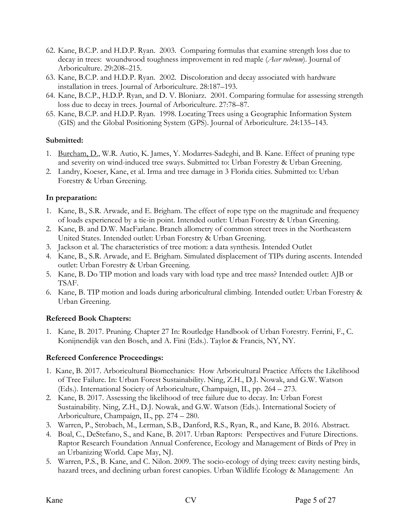- 62. Kane, B.C.P. and H.D.P. Ryan. 2003. Comparing formulas that examine strength loss due to decay in trees: woundwood toughness improvement in red maple (*Acer rubrum*). Journal of Arboriculture. 29:208–215.
- 63. Kane, B.C.P. and H.D.P. Ryan. 2002. Discoloration and decay associated with hardware installation in trees. Journal of Arboriculture. 28:187–193.
- 64. Kane, B.C.P., H.D.P. Ryan, and D. V. Bloniarz. 2001. Comparing formulae for assessing strength loss due to decay in trees. Journal of Arboriculture. 27:78–87.
- 65. Kane, B.C.P. and H.D.P. Ryan. 1998. Locating Trees using a Geographic Information System (GIS) and the Global Positioning System (GPS). Journal of Arboriculture. 24:135–143.

# **Submitted:**

- 1. Burcham, D., W.R. Autio, K. James, Y. Modarres-Sadeghi, and B. Kane. Effect of pruning type and severity on wind-induced tree sways. Submitted to: Urban Forestry & Urban Greening.
- 2. Landry, Koeser, Kane, et al. Irma and tree damage in 3 Florida cities. Submitted to: Urban Forestry & Urban Greening.

# **In preparation:**

- 1. Kane, B., S.R. Arwade, and E. Brigham. The effect of rope type on the magnitude and frequency of loads experienced by a tie-in point. Intended outlet: Urban Forestry & Urban Greening.
- 2. Kane, B. and D.W. MacFarlane. Branch allometry of common street trees in the Northeastern United States. Intended outlet: Urban Forestry & Urban Greening.
- 3. Jackson et al. The characteristics of tree motion: a data synthesis. Intended Outlet
- 4. Kane, B., S.R. Arwade, and E. Brigham. Simulated displacement of TIPs during ascents. Intended outlet: Urban Forestry & Urban Greening.
- 5. Kane, B. Do TIP motion and loads vary with load type and tree mass? Intended outlet: AJB or TSAF.
- 6. Kane, B. TIP motion and loads during arboricultural climbing. Intended outlet: Urban Forestry & Urban Greening.

# **Refereed Book Chapters:**

1. Kane, B. 2017. Pruning. Chapter 27 In: Routledge Handbook of Urban Forestry. Ferrini, F., C. Konijnendijk van den Bosch, and A. Fini (Eds.). Taylor & Francis, NY, NY.

# **Refereed Conference Proceedings:**

- 1. Kane, B. 2017. Arboricultural Biomechanics: How Arboricultural Practice Affects the Likelihood of Tree Failure. In: Urban Forest Sustainability. Ning, Z.H., D.J. Nowak, and G.W. Watson (Eds.). International Society of Arboriculture, Champaign, IL, pp. 264 – 273.
- 2. Kane, B. 2017. Assessing the likelihood of tree failure due to decay. In: Urban Forest Sustainability. Ning, Z.H., D.J. Nowak, and G.W. Watson (Eds.). International Society of Arboriculture, Champaign, IL, pp. 274 – 280.
- 3. Warren, P., Strobach, M., Lerman, S.B., Danford, R.S., Ryan, R., and Kane, B. 2016. Abstract.
- 4. Boal, C., DeStefano, S., and Kane, B. 2017. Urban Raptors: Perspectives and Future Directions. Raptor Research Foundation Annual Conference, Ecology and Management of Birds of Prey in an Urbanizing World. Cape May, NJ.
- 5. Warren, P.S., B. Kane, and C. Nilon. 2009. The socio-ecology of dying trees: cavity nesting birds, hazard trees, and declining urban forest canopies. Urban Wildlife Ecology & Management: An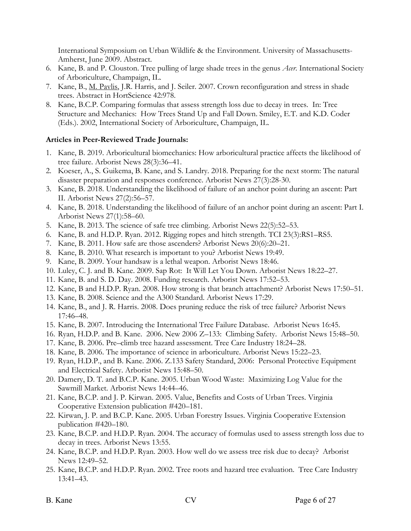International Symposium on Urban Wildlife & the Environment. University of Massachusetts-Amherst, June 2009. Abstract.

- 6. Kane, B. and P. Clouston. Tree pulling of large shade trees in the genus *Acer*. International Society of Arboriculture, Champaign, IL.
- 7. Kane, B., M. Pavlis, J.R. Harris, and J. Seiler. 2007. Crown reconfiguration and stress in shade trees. Abstract in HortScience 42:978.
- 8. Kane, B.C.P. Comparing formulas that assess strength loss due to decay in trees. In: Tree Structure and Mechanics: How Trees Stand Up and Fall Down. Smiley, E.T. and K.D. Coder (Eds.). 2002, International Society of Arboriculture, Champaign, IL.

## **Articles in Peer-Reviewed Trade Journals:**

- 1. Kane, B. 2019. Arboricultural biomechanics: How arboricultural practice affects the likelihood of tree failure. Arborist News 28(3):36–41.
- 2. Koeser, A., S. Guikema, B. Kane, and S. Landry. 2018. Preparing for the next storm: The natural disaster preparation and responses conference. Arborist News 27(3):28-30.
- 3. Kane, B. 2018. Understanding the likelihood of failure of an anchor point during an ascent: Part II. Arborist News 27(2):56–57.
- 4. Kane, B. 2018. Understanding the likelihood of failure of an anchor point during an ascent: Part I. Arborist News 27(1):58–60.
- 5. Kane, B. 2013. The science of safe tree climbing. Arborist News 22(5):52–53.
- 6. Kane, B. and H.D.P. Ryan. 2012. Rigging ropes and hitch strength. TCI 23(3):RS1–RS5.
- 7. Kane, B. 2011. How safe are those ascenders? Arborist News 20(6):20–21.
- 8. Kane, B. 2010. What research is important to you? Arborist News 19:49.
- 9. Kane, B. 2009. Your handsaw is a lethal weapon. Arborist News 18:46.
- 10. Luley, C. J. and B. Kane. 2009. Sap Rot: It Will Let You Down. Arborist News 18:22–27.
- 11. Kane, B. and S. D. Day. 2008. Funding research. Arborist News 17:52–53.
- 12. Kane, B and H.D.P. Ryan. 2008. How strong is that branch attachment? Arborist News 17:50–51.
- 13. Kane, B. 2008. Science and the A300 Standard. Arborist News 17:29.
- 14. Kane, B., and J. R. Harris. 2008. Does pruning reduce the risk of tree failure? Arborist News 17:46–48.
- 15. Kane, B. 2007. Introducing the International Tree Failure Database. Arborist News 16:45.
- 16. Ryan, H.D.P. and B. Kane. 2006. New 2006 Z–133: Climbing Safety. Arborist News 15:48–50.
- 17. Kane, B. 2006. Pre–climb tree hazard assessment. Tree Care Industry 18:24–28.
- 18. Kane, B. 2006. The importance of science in arboriculture. Arborist News 15:22–23.
- 19. Ryan, H.D.P., and B. Kane. 2006. Z.133 Safety Standard, 2006: Personal Protective Equipment and Electrical Safety. Arborist News 15:48–50.
- 20. Damery, D. T. and B.C.P. Kane. 2005. Urban Wood Waste: Maximizing Log Value for the Sawmill Market. Arborist News 14:44–46.
- 21. Kane, B.C.P. and J. P. Kirwan. 2005. Value, Benefits and Costs of Urban Trees. Virginia Cooperative Extension publication #420–181.
- 22. Kirwan, J. P. and B.C.P. Kane. 2005. Urban Forestry Issues. Virginia Cooperative Extension publication #420–180.
- 23. Kane, B.C.P. and H.D.P. Ryan. 2004. The accuracy of formulas used to assess strength loss due to decay in trees. Arborist News 13:55.
- 24. Kane, B.C.P. and H.D.P. Ryan. 2003. How well do we assess tree risk due to decay? Arborist News 12:49–52.
- 25. Kane, B.C.P. and H.D.P. Ryan. 2002. Tree roots and hazard tree evaluation. Tree Care Industry 13:41–43.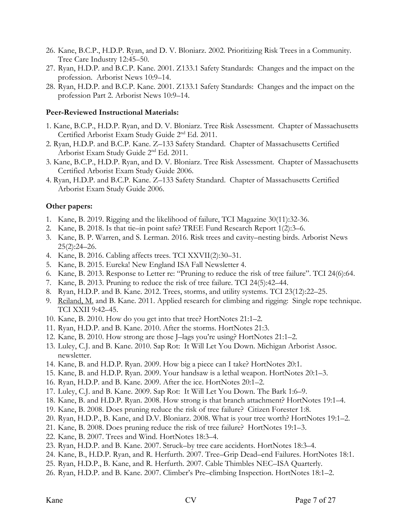- 26. Kane, B.C.P., H.D.P. Ryan, and D. V. Bloniarz. 2002. Prioritizing Risk Trees in a Community. Tree Care Industry 12:45–50.
- 27. Ryan, H.D.P. and B.C.P. Kane. 2001. Z133.1 Safety Standards: Changes and the impact on the profession. Arborist News 10:9–14.
- 28. Ryan, H.D.P. and B.C.P. Kane. 2001. Z133.1 Safety Standards: Changes and the impact on the profession Part 2. Arborist News 10:9–14.

#### **Peer-Reviewed Instructional Materials:**

- 1. Kane, B.C.P., H.D.P. Ryan, and D. V. Bloniarz. Tree Risk Assessment. Chapter of Massachusetts Certified Arborist Exam Study Guide 2nd Ed. 2011.
- 2. Ryan, H.D.P. and B.C.P. Kane. Z–133 Safety Standard. Chapter of Massachusetts Certified Arborist Exam Study Guide 2nd Ed. 2011.
- 3. Kane, B.C.P., H.D.P. Ryan, and D. V. Bloniarz. Tree Risk Assessment. Chapter of Massachusetts Certified Arborist Exam Study Guide 2006.
- 4. Ryan, H.D.P. and B.C.P. Kane. Z–133 Safety Standard. Chapter of Massachusetts Certified Arborist Exam Study Guide 2006.

#### **Other papers:**

- 1. Kane, B. 2019. Rigging and the likelihood of failure, TCI Magazine 30(11):32-36.
- 2. Kane, B. 2018. Is that tie–in point safe? TREE Fund Research Report 1(2):3–6.
- 3. Kane, B. P. Warren, and S. Lerman. 2016. Risk trees and cavity–nesting birds. Arborist News 25(2):24–26.
- 4. Kane, B. 2016. Cabling affects trees. TCI XXVII(2):30–31.
- 5. Kane, B. 2015. Eureka! New England ISA Fall Newsletter 4.
- 6. Kane, B. 2013. Response to Letter re: "Pruning to reduce the risk of tree failure". TCI 24(6):64.
- 7. Kane, B. 2013. Pruning to reduce the risk of tree failure. TCI 24(5):42–44.
- 8. Ryan, H.D.P. and B. Kane. 2012. Trees, storms, and utility systems. TCI 23(12):22–25.
- 9. Reiland, M. and B. Kane. 2011. Applied research for climbing and rigging: Single rope technique. TCI XXII 9:42–45.
- 10. Kane, B. 2010. How do you get into that tree? HortNotes 21:1–2.
- 11. Ryan, H.D.P. and B. Kane. 2010. After the storms. HortNotes 21:3.
- 12. Kane, B. 2010. How strong are those J–lags you're using? HortNotes 21:1–2.
- 13. Luley, C.J. and B. Kane. 2010. Sap Rot: It Will Let You Down. Michigan Arborist Assoc. newsletter.
- 14. Kane, B. and H.D.P. Ryan. 2009. How big a piece can I take? HortNotes 20:1.
- 15. Kane, B. and H.D.P. Ryan. 2009. Your handsaw is a lethal weapon. HortNotes 20:1–3.
- 16. Ryan, H.D.P. and B. Kane. 2009. After the ice. HortNotes 20:1–2.
- 17. Luley, C.J. and B. Kane. 2009. Sap Rot: It Will Let You Down. The Bark 1:6–9.
- 18. Kane, B. and H.D.P. Ryan. 2008. How strong is that branch attachment? HortNotes 19:1–4.
- 19. Kane, B. 2008. Does pruning reduce the risk of tree failure? Citizen Forester 1:8.
- 20. Ryan, H.D.P., B. Kane, and D.V. Bloniarz. 2008. What is your tree worth? HortNotes 19:1–2.
- 21. Kane, B. 2008. Does pruning reduce the risk of tree failure? HortNotes 19:1–3.
- 22. Kane, B. 2007. Trees and Wind. HortNotes 18:3–4.
- 23. Ryan, H.D.P. and B. Kane. 2007. Struck–by tree care accidents. HortNotes 18:3–4.
- 24. Kane, B., H.D.P. Ryan, and R. Herfurth. 2007. Tree–Grip Dead–end Failures. HortNotes 18:1.
- 25. Ryan, H.D.P., B. Kane, and R. Herfurth. 2007. Cable Thimbles NEC–ISA Quarterly.
- 26. Ryan, H.D.P. and B. Kane. 2007. Climber's Pre–climbing Inspection. HortNotes 18:1–2.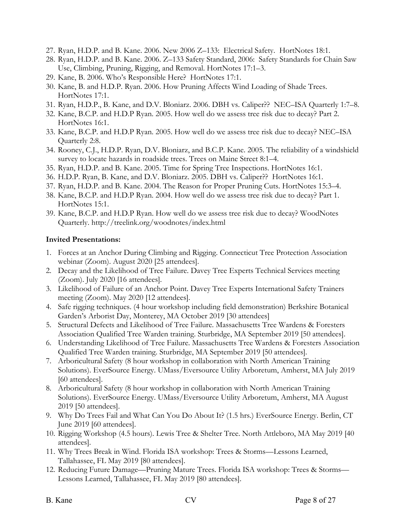- 27. Ryan, H.D.P. and B. Kane. 2006. New 2006 Z–133: Electrical Safety. HortNotes 18:1.
- 28. Ryan, H.D.P. and B. Kane. 2006. Z–133 Safety Standard, 2006: Safety Standards for Chain Saw Use, Climbing, Pruning, Rigging, and Removal. HortNotes 17:1–3.
- 29. Kane, B. 2006. Who's Responsible Here? HortNotes 17:1.
- 30. Kane, B. and H.D.P. Ryan. 2006. How Pruning Affects Wind Loading of Shade Trees. HortNotes 17:1.
- 31. Ryan, H.D.P., B. Kane, and D.V. Bloniarz. 2006. DBH vs. Caliper?? NEC–ISA Quarterly 1:7–8.
- 32. Kane, B.C.P. and H.D.P Ryan. 2005. How well do we assess tree risk due to decay? Part 2. HortNotes 16:1.
- 33. Kane, B.C.P. and H.D.P Ryan. 2005. How well do we assess tree risk due to decay? NEC–ISA Quarterly 2:8.
- 34. Rooney, C.J., H.D.P. Ryan, D.V. Bloniarz, and B.C.P. Kane. 2005. The reliability of a windshield survey to locate hazards in roadside trees. Trees on Maine Street 8:1–4.
- 35. Ryan, H.D.P. and B. Kane. 2005. Time for Spring Tree Inspections. HortNotes 16:1.
- 36. H.D.P. Ryan, B. Kane, and D.V. Bloniarz. 2005. DBH vs. Caliper?? HortNotes 16:1.
- 37. Ryan, H.D.P. and B. Kane. 2004. The Reason for Proper Pruning Cuts. HortNotes 15:3–4.
- 38. Kane, B.C.P. and H.D.P Ryan. 2004. How well do we assess tree risk due to decay? Part 1. HortNotes 15:1.
- 39. Kane, B.C.P. and H.D.P Ryan. How well do we assess tree risk due to decay? WoodNotes Quarterly. http://treelink.org/woodnotes/index.html

## **Invited Presentations:**

- 1. Forces at an Anchor During Climbing and Rigging. Connecticut Tree Protection Association webinar (Zoom). August 2020 [25 attendees].
- 2. Decay and the Likelihood of Tree Failure. Davey Tree Experts Technical Services meeting (Zoom). July 2020 [16 attendees].
- 3. Likelihood of Failure of an Anchor Point. Davey Tree Experts International Safety Trainers meeting (Zoom). May 2020 [12 attendees].
- 4. Safe rigging techniques. (4 hour workshop including field demonstration) Berkshire Botanical Garden's Arborist Day, Monterey, MA October 2019 [30 attendees]
- 5. Structural Defects and Likelihood of Tree Failure. Massachusetts Tree Wardens & Foresters Association Qualified Tree Warden training. Sturbridge, MA September 2019 [50 attendees].
- 6. Understanding Likelihood of Tree Failure. Massachusetts Tree Wardens & Foresters Association Qualified Tree Warden training. Sturbridge, MA September 2019 [50 attendees].
- 7. Arboricultural Safety (8 hour workshop in collaboration with North American Training Solutions). EverSource Energy. UMass/Eversource Utility Arboretum, Amherst, MA July 2019 [60 attendees].
- 8. Arboricultural Safety (8 hour workshop in collaboration with North American Training Solutions). EverSource Energy. UMass/Eversource Utility Arboretum, Amherst, MA August 2019 [50 attendees].
- 9. Why Do Trees Fail and What Can You Do About It? (1.5 hrs.) EverSource Energy. Berlin, CT June 2019 [60 attendees].
- 10. Rigging Workshop (4.5 hours). Lewis Tree & Shelter Tree. North Attleboro, MA May 2019 [40 attendees].
- 11. Why Trees Break in Wind. Florida ISA workshop: Trees & Storms—Lessons Learned, Tallahassee, FL May 2019 [80 attendees].
- 12. Reducing Future Damage—Pruning Mature Trees. Florida ISA workshop: Trees & Storms— Lessons Learned, Tallahassee, FL May 2019 [80 attendees].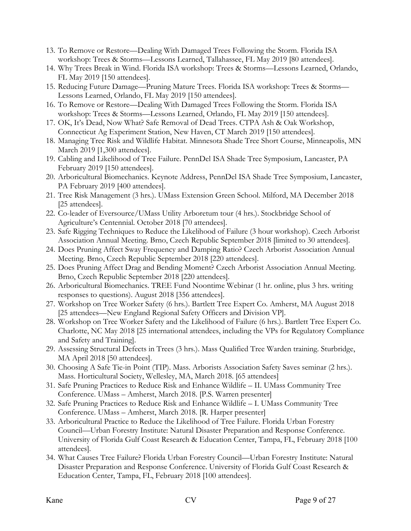- 13. To Remove or Restore—Dealing With Damaged Trees Following the Storm. Florida ISA workshop: Trees & Storms—Lessons Learned, Tallahassee, FL May 2019 [80 attendees].
- 14. Why Trees Break in Wind. Florida ISA workshop: Trees & Storms—Lessons Learned, Orlando, FL May 2019 [150 attendees].
- 15. Reducing Future Damage—Pruning Mature Trees. Florida ISA workshop: Trees & Storms— Lessons Learned, Orlando, FL May 2019 [150 attendees].
- 16. To Remove or Restore—Dealing With Damaged Trees Following the Storm. Florida ISA workshop: Trees & Storms—Lessons Learned, Orlando, FL May 2019 [150 attendees].
- 17. OK, It's Dead, Now What? Safe Removal of Dead Trees. CTPA Ash & Oak Workshop, Connecticut Ag Experiment Station, New Haven, CT March 2019 [150 attendees].
- 18. Managing Tree Risk and Wildlife Habitat. Minnesota Shade Tree Short Course, Minneapolis, MN March 2019 [1,300 attendees].
- 19. Cabling and Likelihood of Tree Failure. PennDel ISA Shade Tree Symposium, Lancaster, PA February 2019 [150 attendees].
- 20. Arboricultural Biomechanics. Keynote Address, PennDel ISA Shade Tree Symposium, Lancaster, PA February 2019 [400 attendees].
- 21. Tree Risk Management (3 hrs.). UMass Extension Green School. Milford, MA December 2018 [25 attendees].
- 22. Co-leader of Eversource/UMass Utility Arboretum tour (4 hrs.). Stockbridge School of Agriculture's Centennial. October 2018 [70 attendees].
- 23. Safe Rigging Techniques to Reduce the Likelihood of Failure (3 hour workshop). Czech Arborist Association Annual Meeting. Brno, Czech Republic September 2018 [limited to 30 attendees].
- 24. Does Pruning Affect Sway Frequency and Damping Ratio? Czech Arborist Association Annual Meeting. Brno, Czech Republic September 2018 [220 attendees].
- 25. Does Pruning Affect Drag and Bending Moment? Czech Arborist Association Annual Meeting. Brno, Czech Republic September 2018 [220 attendees].
- 26. Arboricultural Biomechanics. TREE Fund Noontime Webinar (1 hr. online, plus 3 hrs. writing responses to questions). August 2018 [356 attendees].
- 27. Workshop on Tree Worker Safety (6 hrs.). Bartlett Tree Expert Co. Amherst, MA August 2018 [25 attendees—New England Regional Safety Officers and Division VP].
- 28. Workshop on Tree Worker Safety and the Likelihood of Failure (6 hrs.). Bartlett Tree Expert Co. Charlotte, NC May 2018 [25 international attendees, including the VPs for Regulatory Compliance and Safety and Training].
- 29. Assessing Structural Defects in Trees (3 hrs.). Mass Qualified Tree Warden training. Sturbridge, MA April 2018 [50 attendees].
- 30. Choosing A Safe Tie-in Point (TIP). Mass. Arborists Association Safety Saves seminar (2 hrs.). Mass. Horticultural Society, Wellesley, MA, March 2018. [65 attendees]
- 31. Safe Pruning Practices to Reduce Risk and Enhance Wildlife II. UMass Community Tree Conference. UMass – Amherst, March 2018. [P.S. Warren presenter]
- 32. Safe Pruning Practices to Reduce Risk and Enhance Wildlife I. UMass Community Tree Conference. UMass – Amherst, March 2018. [R. Harper presenter]
- 33. Arboricultural Practice to Reduce the Likelihood of Tree Failure. Florida Urban Forestry Council—Urban Forestry Institute: Natural Disaster Preparation and Response Conference. University of Florida Gulf Coast Research & Education Center, Tampa, FL, February 2018 [100 attendees].
- 34. What Causes Tree Failure? Florida Urban Forestry Council—Urban Forestry Institute: Natural Disaster Preparation and Response Conference. University of Florida Gulf Coast Research & Education Center, Tampa, FL, February 2018 [100 attendees].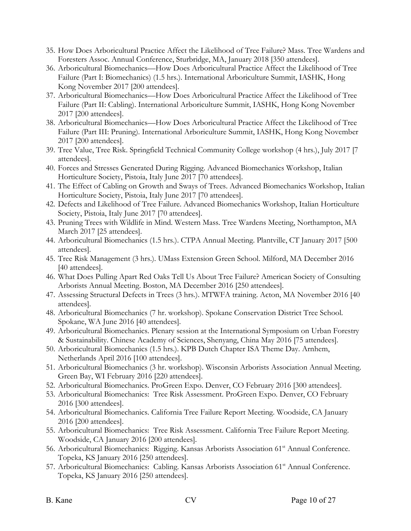- 35. How Does Arboricultural Practice Affect the Likelihood of Tree Failure? Mass. Tree Wardens and Foresters Assoc. Annual Conference, Sturbridge, MA, January 2018 [350 attendees].
- 36. Arboricultural Biomechanics—How Does Arboricultural Practice Affect the Likelihood of Tree Failure (Part I: Biomechanics) (1.5 hrs.). International Arboriculture Summit, IASHK, Hong Kong November 2017 [200 attendees].
- 37. Arboricultural Biomechanics—How Does Arboricultural Practice Affect the Likelihood of Tree Failure (Part II: Cabling). International Arboriculture Summit, IASHK, Hong Kong November 2017 [200 attendees].
- 38. Arboricultural Biomechanics—How Does Arboricultural Practice Affect the Likelihood of Tree Failure (Part III: Pruning). International Arboriculture Summit, IASHK, Hong Kong November 2017 [200 attendees].
- 39. Tree Value, Tree Risk. Springfield Technical Community College workshop (4 hrs.), July 2017 [7 attendees].
- 40. Forces and Stresses Generated During Rigging. Advanced Biomechanics Workshop, Italian Horticulture Society, Pistoia, Italy June 2017 [70 attendees].
- 41. The Effect of Cabling on Growth and Sways of Trees. Advanced Biomechanics Workshop, Italian Horticulture Society, Pistoia, Italy June 2017 [70 attendees].
- 42. Defects and Likelihood of Tree Failure. Advanced Biomechanics Workshop, Italian Horticulture Society, Pistoia, Italy June 2017 [70 attendees].
- 43. Pruning Trees with Wildlife in Mind. Western Mass. Tree Wardens Meeting, Northampton, MA March 2017 [25 attendees].
- 44. Arboricultural Biomechanics (1.5 hrs.). CTPA Annual Meeting. Plantville, CT January 2017 [500 attendees].
- 45. Tree Risk Management (3 hrs.). UMass Extension Green School. Milford, MA December 2016 [40 attendees].
- 46. What Does Pulling Apart Red Oaks Tell Us About Tree Failure? American Society of Consulting Arborists Annual Meeting. Boston, MA December 2016 [250 attendees].
- 47. Assessing Structural Defects in Trees (3 hrs.). MTWFA training. Acton, MA November 2016 [40 attendees].
- 48. Arboricultural Biomechanics (7 hr. workshop). Spokane Conservation District Tree School. Spokane, WA June 2016 [40 attendees].
- 49. Arboricultural Biomechanics. Plenary session at the International Symposium on Urban Forestry & Sustainability. Chinese Academy of Sciences, Shenyang, China May 2016 [75 attendees].
- 50. Arboricultural Biomechanics (1.5 hrs.). KPB Dutch Chapter ISA Theme Day. Arnhem, Netherlands April 2016 [100 attendees].
- 51. Arboricultural Biomechanics (3 hr. workshop). Wisconsin Arborists Association Annual Meeting. Green Bay, WI February 2016 [220 attendees].
- 52. Arboricultural Biomechanics. ProGreen Expo. Denver, CO February 2016 [300 attendees].
- 53. Arboricultural Biomechanics: Tree Risk Assessment. ProGreen Expo. Denver, CO February 2016 [300 attendees].
- 54. Arboricultural Biomechanics. California Tree Failure Report Meeting. Woodside, CA January 2016 [200 attendees].
- 55. Arboricultural Biomechanics: Tree Risk Assessment. California Tree Failure Report Meeting. Woodside, CA January 2016 [200 attendees].
- 56. Arboricultural Biomechanics: Rigging. Kansas Arborists Association 61<sup>st</sup> Annual Conference. Topeka, KS January 2016 [250 attendees].
- 57. Arboricultural Biomechanics: Cabling. Kansas Arborists Association 61<sup>st</sup> Annual Conference. Topeka, KS January 2016 [250 attendees].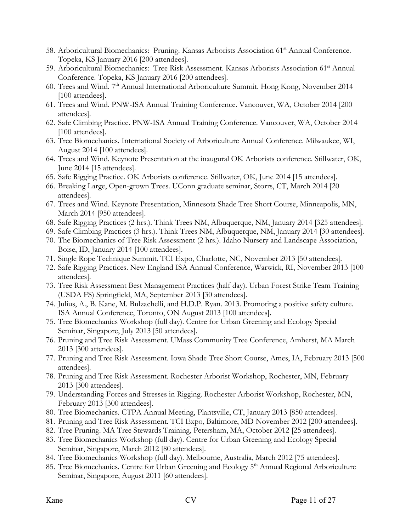- 58. Arboricultural Biomechanics: Pruning. Kansas Arborists Association 61<sup>st</sup> Annual Conference. Topeka, KS January 2016 [200 attendees].
- 59. Arboricultural Biomechanics: Tree Risk Assessment. Kansas Arborists Association 61st Annual Conference. Topeka, KS January 2016 [200 attendees].
- 60. Trees and Wind. 7th Annual International Arboriculture Summit. Hong Kong, November 2014 [100 attendees].
- 61. Trees and Wind. PNW-ISA Annual Training Conference. Vancouver, WA, October 2014 [200 attendees].
- 62. Safe Climbing Practice. PNW-ISA Annual Training Conference. Vancouver, WA, October 2014 [100 attendees].
- 63. Tree Biomechanics. International Society of Arboriculture Annual Conference. Milwaukee, WI, August 2014 [100 attendees].
- 64. Trees and Wind. Keynote Presentation at the inaugural OK Arborists conference. Stillwater, OK, June 2014 [15 attendees].
- 65. Safe Rigging Practice. OK Arborists conference. Stillwater, OK, June 2014 [15 attendees].
- 66. Breaking Large, Open-grown Trees. UConn graduate seminar, Storrs, CT, March 2014 [20 attendees].
- 67. Trees and Wind. Keynote Presentation, Minnesota Shade Tree Short Course, Minneapolis, MN, March 2014 [950 attendees].
- 68. Safe Rigging Practices (2 hrs.). Think Trees NM, Albuquerque, NM, January 2014 [325 attendees].
- 69. Safe Climbing Practices (3 hrs.). Think Trees NM, Albuquerque, NM, January 2014 [30 attendees].
- 70. The Biomechanics of Tree Risk Assessment (2 hrs.). Idaho Nursery and Landscape Association, Boise, ID, January 2014 [100 attendees].
- 71. Single Rope Technique Summit. TCI Expo, Charlotte, NC, November 2013 [50 attendees].
- 72. Safe Rigging Practices. New England ISA Annual Conference, Warwick, RI, November 2013 [100 attendees].
- 73. Tree Risk Assessment Best Management Practices (half day). Urban Forest Strike Team Training (USDA FS) Springfield, MA, September 2013 [30 attendees].
- 74. Julius, A., B. Kane, M. Bulzachelli, and H.D.P. Ryan. 2013. Promoting a positive safety culture. ISA Annual Conference, Toronto, ON August 2013 [100 attendees].
- 75. Tree Biomechanics Workshop (full day). Centre for Urban Greening and Ecology Special Seminar, Singapore, July 2013 [50 attendees].
- 76. Pruning and Tree Risk Assessment. UMass Community Tree Conference, Amherst, MA March 2013 [300 attendees].
- 77. Pruning and Tree Risk Assessment. Iowa Shade Tree Short Course, Ames, IA, February 2013 [500 attendees].
- 78. Pruning and Tree Risk Assessment. Rochester Arborist Workshop, Rochester, MN, February 2013 [300 attendees].
- 79. Understanding Forces and Stresses in Rigging. Rochester Arborist Workshop, Rochester, MN, February 2013 [300 attendees].
- 80. Tree Biomechanics. CTPA Annual Meeting, Plantsville, CT, January 2013 [850 attendees].
- 81. Pruning and Tree Risk Assessment. TCI Expo, Baltimore, MD November 2012 [200 attendees].
- 82. Tree Pruning. MA Tree Stewards Training, Petersham, MA, October 2012 [25 attendees].
- 83. Tree Biomechanics Workshop (full day). Centre for Urban Greening and Ecology Special Seminar, Singapore, March 2012 [80 attendees].
- 84. Tree Biomechanics Workshop (full day). Melbourne, Australia, March 2012 [75 attendees].
- 85. Tree Biomechanics. Centre for Urban Greening and Ecology 5<sup>th</sup> Annual Regional Arboriculture Seminar, Singapore, August 2011 [60 attendees].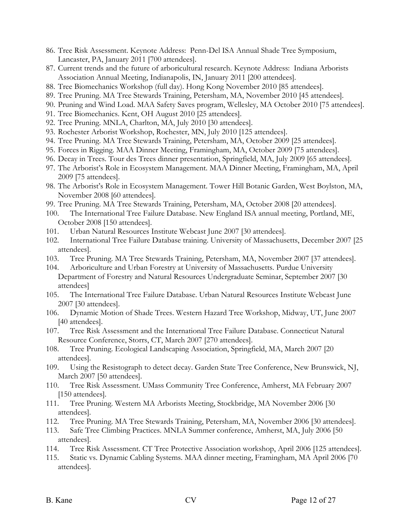- 86. Tree Risk Assessment. Keynote Address: Penn-Del ISA Annual Shade Tree Symposium, Lancaster, PA, January 2011 [700 attendees].
- 87. Current trends and the future of arboricultural research. Keynote Address: Indiana Arborists Association Annual Meeting, Indianapolis, IN, January 2011 [200 attendees].
- 88. Tree Biomechanics Workshop (full day). Hong Kong November 2010 [85 attendees].
- 89. Tree Pruning. MA Tree Stewards Training, Petersham, MA, November 2010 [45 attendees].
- 90. Pruning and Wind Load. MAA Safety Saves program, Wellesley, MA October 2010 [75 attendees].
- 91. Tree Biomechanics. Kent, OH August 2010 [25 attendees].
- 92. Tree Pruning. MNLA, Charlton, MA, July 2010 [30 attendees].
- 93. Rochester Arborist Workshop, Rochester, MN, July 2010 [125 attendees].
- 94. Tree Pruning. MA Tree Stewards Training, Petersham, MA, October 2009 [25 attendees].
- 95. Forces in Rigging. MAA Dinner Meeting, Framingham, MA, October 2009 [75 attendees].
- 96. Decay in Trees. Tour des Trees dinner presentation, Springfield, MA, July 2009 [65 attendees].
- 97. The Arborist's Role in Ecosystem Management. MAA Dinner Meeting, Framingham, MA, April 2009 [75 attendees].
- 98. The Arborist's Role in Ecosystem Management. Tower Hill Botanic Garden, West Boylston, MA, November 2008 [60 attendees].
- 99. Tree Pruning. MA Tree Stewards Training, Petersham, MA, October 2008 [20 attendees].
- 100. The International Tree Failure Database. New England ISA annual meeting, Portland, ME, October 2008 [150 attendees].
- 101. Urban Natural Resources Institute Webcast June 2007 [30 attendees].
- 102. International Tree Failure Database training. University of Massachusetts, December 2007 [25 attendees].
- 103. Tree Pruning. MA Tree Stewards Training, Petersham, MA, November 2007 [37 attendees].
- 104. Arboriculture and Urban Forestry at University of Massachusetts. Purdue University Department of Forestry and Natural Resources Undergraduate Seminar, September 2007 [30 attendees]
- 105. The International Tree Failure Database. Urban Natural Resources Institute Webcast June 2007 [30 attendees].
- 106. Dynamic Motion of Shade Trees. Western Hazard Tree Workshop, Midway, UT, June 2007 [40 attendees].
- 107. Tree Risk Assessment and the International Tree Failure Database. Connecticut Natural Resource Conference, Storrs, CT, March 2007 [270 attendees].
- 108. Tree Pruning. Ecological Landscaping Association, Springfield, MA, March 2007 [20 attendees].
- 109. Using the Resistograph to detect decay. Garden State Tree Conference, New Brunswick, NJ, March 2007 [50 attendees].
- 110. Tree Risk Assessment. UMass Community Tree Conference, Amherst, MA February 2007 [150 attendees].
- 111. Tree Pruning. Western MA Arborists Meeting, Stockbridge, MA November 2006 [30 attendees].
- 112. Tree Pruning. MA Tree Stewards Training, Petersham, MA, November 2006 [30 attendees].
- 113. Safe Tree Climbing Practices. MNLA Summer conference, Amherst, MA, July 2006 [50 attendees].
- 114. Tree Risk Assessment. CT Tree Protective Association workshop, April 2006 [125 attendees].
- 115. Static vs. Dynamic Cabling Systems. MAA dinner meeting, Framingham, MA April 2006 [70 attendees].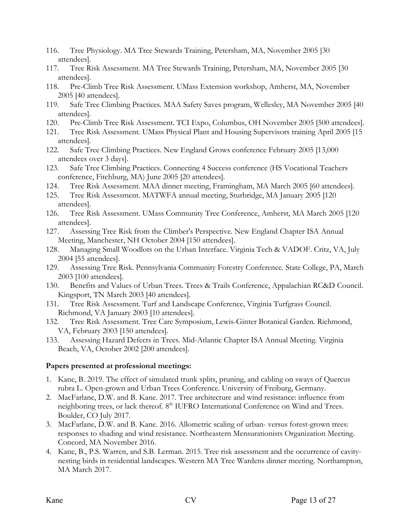- 116. Tree Physiology. MA Tree Stewards Training, Petersham, MA, November 2005 [30 attendees].
- 117. Tree Risk Assessment. MA Tree Stewards Training, Petersham, MA, November 2005 [30 attendees].
- 118. Pre-Climb Tree Risk Assessment. UMass Extension workshop, Amherst, MA, November 2005 [40 attendees].
- 119. Safe Tree Climbing Practices. MAA Safety Saves program, Wellesley, MA November 2005 [40 attendees].
- 120. Pre-Climb Tree Risk Assessment. TCI Expo, Columbus, OH November 2005 [500 attendees].
- 121. Tree Risk Assessment. UMass Physical Plant and Housing Supervisors training April 2005 [15 attendees].
- 122. Safe Tree Climbing Practices. New England Grows conference February 2005 [13,000 attendees over 3 days].
- 123. Safe Tree Climbing Practices. Connecting 4 Success conference (HS Vocational Teachers conference, Fitchburg, MA) June 2005 [20 attendees].
- 124. Tree Risk Assessment. MAA dinner meeting, Framingham, MA March 2005 [60 attendees].
- 125. Tree Risk Assessment. MATWFA annual meeting, Sturbridge, MA January 2005 [120 attendees].
- 126. Tree Risk Assessment. UMass Community Tree Conference, Amherst, MA March 2005 [120 attendees].
- 127. Assessing Tree Risk from the Climber's Perspective. New England Chapter ISA Annual Meeting, Manchester, NH October 2004 [150 attendees].
- 128. Managing Small Woodlots on the Urban Interface. Virginia Tech & VADOF. Critz, VA, July 2004 [55 attendees].
- 129. Assessing Tree Risk. Pennsylvania Community Forestry Conference. State College, PA, March 2003 [100 attendees].
- 130. Benefits and Values of Urban Trees. Trees & Trails Conference, Appalachian RC&D Council. Kingsport, TN March 2003 [40 attendees].
- 131. Tree Risk Assessment. Turf and Landscape Conference, Virginia Turfgrass Council. Richmond, VA January 2003 [10 attendees].
- 132. Tree Risk Assessment. Tree Care Symposium, Lewis-Ginter Botanical Garden. Richmond, VA, February 2003 [150 attendees].
- 133. Assessing Hazard Defects in Trees. Mid-Atlantic Chapter ISA Annual Meeting. Virginia Beach, VA, October 2002 [200 attendees].

# **Papers presented at professional meetings:**

- 1. Kane, B. 2019. The effect of simulated trunk splits, pruning, and cabling on sways of Quercus rubra L. Open-grown and Urban Trees Conference. University of Freiburg, Germany.
- 2. MacFarlane, D.W. and B. Kane. 2017. Tree architecture and wind resistance: influence from neighboring trees, or lack thereof. 8<sup>th</sup> IUFRO International Conference on Wind and Trees. Boulder, CO July 2017.
- 3. MacFarlane, D.W. and B. Kane. 2016. Allometric scaling of urban- versus forest-grown trees: responses to shading and wind resistance. Northeastern Mensurationists Organization Meeting. Concord, MA November 2016.
- 4. Kane, B., P.S. Warren, and S.B. Lerman. 2015. Tree risk assessment and the occurrence of cavitynesting birds in residential landscapes. Western MA Tree Wardens dinner meeting. Northampton, MA March 2017.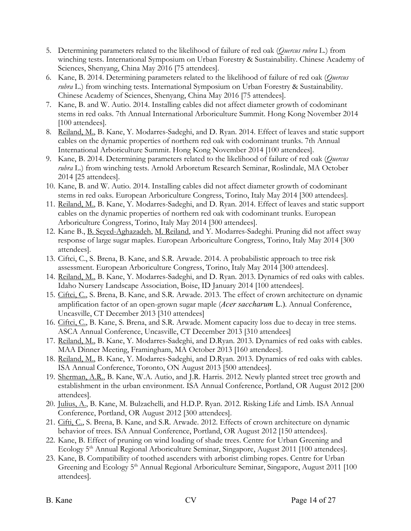- 5. Determining parameters related to the likelihood of failure of red oak (*Quercus rubra* L.) from winching tests. International Symposium on Urban Forestry & Sustainability. Chinese Academy of Sciences, Shenyang, China May 2016 [75 attendees].
- 6. Kane, B. 2014. Determining parameters related to the likelihood of failure of red oak (*Quercus rubra* L.) from winching tests. International Symposium on Urban Forestry & Sustainability. Chinese Academy of Sciences, Shenyang, China May 2016 [75 attendees].
- 7. Kane, B. and W. Autio. 2014. Installing cables did not affect diameter growth of codominant stems in red oaks. 7th Annual International Arboriculture Summit. Hong Kong November 2014 [100 attendees].
- 8. Reiland, M., B. Kane, Y. Modarres-Sadeghi, and D. Ryan. 2014. Effect of leaves and static support cables on the dynamic properties of northern red oak with codominant trunks. 7th Annual International Arboriculture Summit. Hong Kong November 2014 [100 attendees].
- 9. Kane, B. 2014. Determining parameters related to the likelihood of failure of red oak (*Quercus rubra* L.) from winching tests. Arnold Arboretum Research Seminar, Roslindale, MA October 2014 [25 attendees].
- 10. Kane, B. and W. Autio. 2014. Installing cables did not affect diameter growth of codominant stems in red oaks. European Arboriculture Congress, Torino, Italy May 2014 [300 attendees].
- 11. Reiland, M., B. Kane, Y. Modarres-Sadeghi, and D. Ryan. 2014. Effect of leaves and static support cables on the dynamic properties of northern red oak with codominant trunks. European Arboriculture Congress, Torino, Italy May 2014 [300 attendees].
- 12. Kane B., B. Seyed-Aghazadeh, M. Reiland, and Y. Modarres-Sadeghi. Pruning did not affect sway response of large sugar maples. European Arboriculture Congress, Torino, Italy May 2014 [300 attendees].
- 13. Ciftci, C., S. Brena, B. Kane, and S.R. Arwade. 2014. A probabilistic approach to tree risk assessment. European Arboriculture Congress, Torino, Italy May 2014 [300 attendees].
- 14. Reiland, M., B. Kane, Y. Modarres-Sadeghi, and D. Ryan. 2013. Dynamics of red oaks with cables. Idaho Nursery Landscape Association, Boise, ID January 2014 [100 attendees].
- 15. Ciftci, C., S. Brena, B. Kane, and S.R. Arwade. 2013. The effect of crown architecture on dynamic amplification factor of an open-grown sugar maple (*Acer saccharum* L.). Annual Conference, Uncasville, CT December 2013 [310 attendees]
- 16. Ciftci, C., B. Kane, S. Brena, and S.R. Arwade. Moment capacity loss due to decay in tree stems. ASCA Annual Conference, Uncasville, CT December 2013 [310 attendees]
- 17. Reiland, M., B. Kane, Y. Modarres-Sadeghi, and D.Ryan. 2013. Dynamics of red oaks with cables. MAA Dinner Meeting, Framingham, MA October 2013 [160 attendees].
- 18. Reiland, M., B. Kane, Y. Modarres-Sadeghi, and D.Ryan. 2013. Dynamics of red oaks with cables. ISA Annual Conference, Toronto, ON August 2013 [500 attendees].
- 19. Sherman, A.R., B. Kane, W.A. Autio, and J.R. Harris. 2012. Newly planted street tree growth and establishment in the urban environment. ISA Annual Conference, Portland, OR August 2012 [200 attendees].
- 20. Julius, A., B. Kane, M. Bulzachelli, and H.D.P. Ryan. 2012. Risking Life and Limb. ISA Annual Conference, Portland, OR August 2012 [300 attendees].
- 21. Cifti, C., S. Brena, B. Kane, and S.R. Arwade. 2012. Effects of crown architecture on dynamic behavior of trees. ISA Annual Conference, Portland, OR August 2012 [150 attendees].
- 22. Kane, B. Effect of pruning on wind loading of shade trees. Centre for Urban Greening and Ecology 5<sup>th</sup> Annual Regional Arboriculture Seminar, Singapore, August 2011 [100 attendees].
- 23. Kane, B. Compatibility of toothed ascenders with arborist climbing ropes. Centre for Urban Greening and Ecology 5<sup>th</sup> Annual Regional Arboriculture Seminar, Singapore, August 2011 [100 attendees].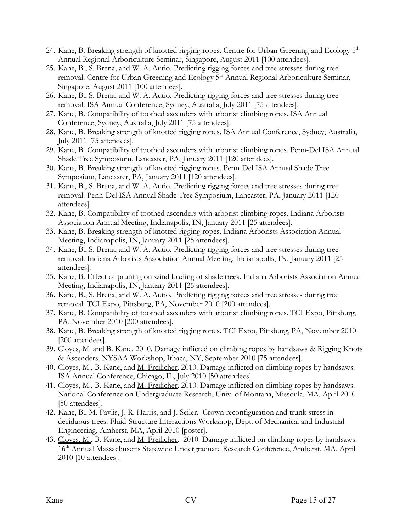- 24. Kane, B. Breaking strength of knotted rigging ropes. Centre for Urban Greening and Ecology 5<sup>th</sup> Annual Regional Arboriculture Seminar, Singapore, August 2011 [100 attendees].
- 25. Kane, B., S. Brena, and W. A. Autio. Predicting rigging forces and tree stresses during tree removal. Centre for Urban Greening and Ecology 5<sup>th</sup> Annual Regional Arboriculture Seminar, Singapore, August 2011 [100 attendees].
- 26. Kane, B., S. Brena, and W. A. Autio. Predicting rigging forces and tree stresses during tree removal. ISA Annual Conference, Sydney, Australia, July 2011 [75 attendees].
- 27. Kane, B. Compatibility of toothed ascenders with arborist climbing ropes. ISA Annual Conference, Sydney, Australia, July 2011 [75 attendees].
- 28. Kane, B. Breaking strength of knotted rigging ropes. ISA Annual Conference, Sydney, Australia, July 2011 [75 attendees].
- 29. Kane, B. Compatibility of toothed ascenders with arborist climbing ropes. Penn-Del ISA Annual Shade Tree Symposium, Lancaster, PA, January 2011 [120 attendees].
- 30. Kane, B. Breaking strength of knotted rigging ropes. Penn-Del ISA Annual Shade Tree Symposium, Lancaster, PA, January 2011 [120 attendees].
- 31. Kane, B., S. Brena, and W. A. Autio. Predicting rigging forces and tree stresses during tree removal. Penn-Del ISA Annual Shade Tree Symposium, Lancaster, PA, January 2011 [120 attendees].
- 32. Kane, B. Compatibility of toothed ascenders with arborist climbing ropes. Indiana Arborists Association Annual Meeting, Indianapolis, IN, January 2011 [25 attendees].
- 33. Kane, B. Breaking strength of knotted rigging ropes. Indiana Arborists Association Annual Meeting, Indianapolis, IN, January 2011 [25 attendees].
- 34. Kane, B., S. Brena, and W. A. Autio. Predicting rigging forces and tree stresses during tree removal. Indiana Arborists Association Annual Meeting, Indianapolis, IN, January 2011 [25 attendees].
- 35. Kane, B. Effect of pruning on wind loading of shade trees. Indiana Arborists Association Annual Meeting, Indianapolis, IN, January 2011 [25 attendees].
- 36. Kane, B., S. Brena, and W. A. Autio. Predicting rigging forces and tree stresses during tree removal. TCI Expo, Pittsburg, PA, November 2010 [200 attendees].
- 37. Kane, B. Compatibility of toothed ascenders with arborist climbing ropes. TCI Expo, Pittsburg, PA, November 2010 [200 attendees].
- 38. Kane, B. Breaking strength of knotted rigging ropes. TCI Expo, Pittsburg, PA, November 2010 [200 attendees].
- 39. Cloyes, M. and B. Kane. 2010. Damage inflicted on climbing ropes by handsaws & Rigging Knots & Ascenders. NYSAA Workshop, Ithaca, NY, September 2010 [75 attendees].
- 40. Cloyes, M., B. Kane, and M. Freilicher. 2010. Damage inflicted on climbing ropes by handsaws. ISA Annual Conference, Chicago, IL, July 2010 [50 attendees].
- 41. Cloyes, M., B. Kane, and M. Freilicher. 2010. Damage inflicted on climbing ropes by handsaws. National Conference on Undergraduate Research, Univ. of Montana, Missoula, MA, April 2010 [50 attendees].
- 42. Kane, B., M. Pavlis, J. R. Harris, and J. Seiler. Crown reconfiguration and trunk stress in deciduous trees. Fluid-Structure Interactions Workshop, Dept. of Mechanical and Industrial Engineering, Amherst, MA, April 2010 [poster].
- 43. Cloyes, M., B. Kane, and M. Freilicher. 2010. Damage inflicted on climbing ropes by handsaws. 16<sup>th</sup> Annual Massachusetts Statewide Undergraduate Research Conference, Amherst, MA, April 2010 [10 attendees].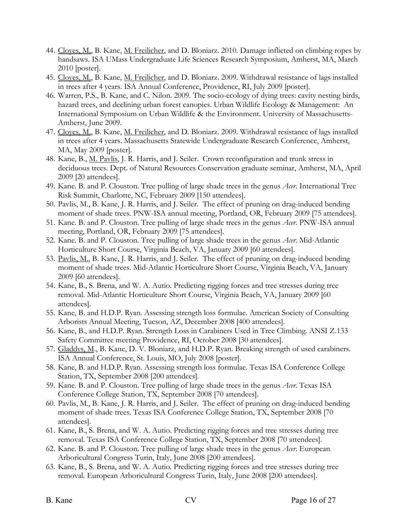- 44. Cloyes, M., B. Kane, M. Freilicher, and D. Bloniarz. 2010. Damage inflicted on climbing ropes by handsaws. ISA UMass Undergraduate Life Sciences Research Symposium, Amherst, MA, March 2010 [poster].
- 45. Cloyes, M., B. Kane, M. Freilicher, and D. Bloniarz. 2009. Withdrawal resistance of lags installed in trees after 4 years. ISA Annual Conference, Providence, RI, July 2009 [poster].
- 46. Warren, P.S., B. Kane, and C. Nilon. 2009. The socio-ecology of dying trees: cavity nesting birds, hazard trees, and declining urban forest canopies. Urban Wildlife Ecology & Management: An International Symposium on Urban Wildlife & the Environment. University of Massachusetts-Amherst, June 2009.
- 47. Cloyes, M., B. Kane, M. Freilicher, and D. Bloniarz. 2009. Withdrawal resistance of lags installed in trees after 4 years. Massachusetts Statewide Undergraduate Research Conference, Amherst, MA, May 2009 [poster].
- 48. Kane, B., M. Pavlis, J. R. Harris, and J. Seiler. Crown reconfiguration and trunk stress in deciduous trees. Dept. of Natural Resources Conservation graduate seminar, Amherst, MA, April 2009 [20 attendees].
- 49. Kane. B. and P. Clouston. Tree pulling of large shade trees in the genus *Acer*. International Tree Risk Summit, Charlotte, NC, February 2009 [150 attendees].
- 50. Pavlis, M., B. Kane, J. R. Harris, and J. Seiler. The effect of pruning on drag-induced bending moment of shade trees. PNW-ISA annual meeting, Portland, OR, February 2009 [75 attendees].
- 51. Kane. B. and P. Clouston. Tree pulling of large shade trees in the genus *Acer*. PNW-ISA annual meeting, Portland, OR, February 2009 [75 attendees].
- 52. Kane. B. and P. Clouston. Tree pulling of large shade trees in the genus *Acer*. Mid-Atlantic Horticulture Short Course, Virginia Beach, VA, January 2009 [60 attendees].
- 53. Pavlis, M., B. Kane, J. R. Harris, and J. Seiler. The effect of pruning on drag-induced bending moment of shade trees. Mid-Atlantic Horticulture Short Course, Virginia Beach, VA, January 2009 [60 attendees].
- 54. Kane, B., S. Brena, and W. A. Autio. Predicting rigging forces and tree stresses during tree removal. Mid-Atlantic Horticulture Short Course, Virginia Beach, VA, January 2009 [60 attendees].
- 55. Kane, B. and H.D.P. Ryan. Assessing strength loss formulae. American Society of Consulting Arborists Annual Meeting, Tucson, AZ, December 2008 [400 attendees].
- 56. Kane, B., and H.D.P. Ryan. Strength Loss in Carabiners Used in Tree Climbing. ANSI Z.133 Safety Committee meeting Providence, RI, October 2008 [30 attendees].
- 57. Gladdys, M., B. Kane, D. V. Bloniarz, and H.D.P. Ryan. Breaking strength of used carabiners. ISA Annual Conference, St. Louis, MO, July 2008 [poster].
- 58. Kane, B. and H.D.P. Ryan. Assessing strength loss formulae. Texas ISA Conference College Station, TX, September 2008 [200 attendees].
- 59. Kane. B. and P. Clouston. Tree pulling of large shade trees in the genus *Acer*. Texas ISA Conference College Station, TX, September 2008 [70 attendees].
- 60. Pavlis, M., B. Kane, J. R. Harris, and J. Seiler. The effect of pruning on drag-induced bending moment of shade trees. Texas ISA Conference College Station, TX, September 2008 [70 attendees].
- 61. Kane, B., S. Brena, and W. A. Autio. Predicting rigging forces and tree stresses during tree removal. Texas ISA Conference College Station, TX, September 2008 [70 attendees].
- 62. Kane. B. and P. Clouston. Tree pulling of large shade trees in the genus *Acer*. European Arboricultural Congress Turin, Italy, June 2008 [200 attendees].
- 63. Kane, B., S. Brena, and W. A. Autio. Predicting rigging forces and tree stresses during tree removal. European Arboricultural Congress Turin, Italy, June 2008 [200 attendees].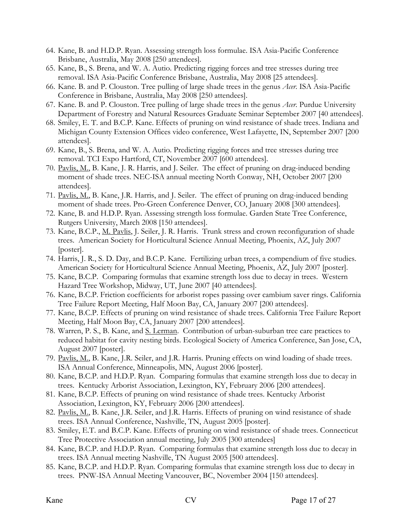- 64. Kane, B. and H.D.P. Ryan. Assessing strength loss formulae. ISA Asia-Pacific Conference Brisbane, Australia, May 2008 [250 attendees].
- 65. Kane, B., S. Brena, and W. A. Autio. Predicting rigging forces and tree stresses during tree removal. ISA Asia-Pacific Conference Brisbane, Australia, May 2008 [25 attendees].
- 66. Kane. B. and P. Clouston. Tree pulling of large shade trees in the genus *Acer*. ISA Asia-Pacific Conference in Brisbane, Australia, May 2008 [250 attendees].
- 67. Kane. B. and P. Clouston. Tree pulling of large shade trees in the genus *Acer*. Purdue University Department of Forestry and Natural Resources Graduate Seminar September 2007 [40 attendees].
- 68. Smiley, E. T. and B.C.P. Kane. Effects of pruning on wind resistance of shade trees. Indiana and Michigan County Extension Offices video conference, West Lafayette, IN, September 2007 [200 attendees].
- 69. Kane, B., S. Brena, and W. A. Autio. Predicting rigging forces and tree stresses during tree removal. TCI Expo Hartford, CT, November 2007 [600 attendees].
- 70. Pavlis, M., B. Kane, J. R. Harris, and J. Seiler. The effect of pruning on drag-induced bending moment of shade trees. NEC-ISA annual meeting North Conway, NH, October 2007 [200 attendees].
- 71. Pavlis, M., B. Kane, J.R. Harris, and J. Seiler. The effect of pruning on drag-induced bending moment of shade trees. Pro-Green Conference Denver, CO, January 2008 [300 attendees].
- 72. Kane, B. and H.D.P. Ryan. Assessing strength loss formulae. Garden State Tree Conference, Rutgers University, March 2008 [150 attendees].
- 73. Kane, B.C.P., M. Pavlis, J. Seiler, J. R. Harris. Trunk stress and crown reconfiguration of shade trees. American Society for Horticultural Science Annual Meeting, Phoenix, AZ, July 2007 [poster].
- 74. Harris, J. R., S. D. Day, and B.C.P. Kane. Fertilizing urban trees, a compendium of five studies. American Society for Horticultural Science Annual Meeting, Phoenix, AZ, July 2007 [poster].
- 75. Kane, B.C.P. Comparing formulas that examine strength loss due to decay in trees. Western Hazard Tree Workshop, Midway, UT, June 2007 [40 attendees].
- 76. Kane, B.C.P. Friction coefficients for arborist ropes passing over cambium saver rings. California Tree Failure Report Meeting, Half Moon Bay, CA, January 2007 [200 attendees].
- 77. Kane, B.C.P. Effects of pruning on wind resistance of shade trees. California Tree Failure Report Meeting, Half Moon Bay, CA, January 2007 [200 attendees].
- 78. Warren, P. S., B. Kane, and S. Lerman. Contribution of urban-suburban tree care practices to reduced habitat for cavity nesting birds. Ecological Society of America Conference, San Jose, CA, August 2007 [poster].
- 79. Pavlis, M., B. Kane, J.R. Seiler, and J.R. Harris. Pruning effects on wind loading of shade trees. ISA Annual Conference, Minneapolis, MN, August 2006 [poster].
- 80. Kane, B.C.P. and H.D.P. Ryan. Comparing formulas that examine strength loss due to decay in trees. Kentucky Arborist Association, Lexington, KY, February 2006 [200 attendees].
- 81. Kane, B.C.P. Effects of pruning on wind resistance of shade trees. Kentucky Arborist Association, Lexington, KY, February 2006 [200 attendees].
- 82. Pavlis, M., B. Kane, J.R. Seiler, and J.R. Harris. Effects of pruning on wind resistance of shade trees. ISA Annual Conference, Nashville, TN, August 2005 [poster].
- 83. Smiley, E.T. and B.C.P. Kane. Effects of pruning on wind resistance of shade trees. Connecticut Tree Protective Association annual meeting, July 2005 [300 attendees]
- 84. Kane, B.C.P. and H.D.P. Ryan. Comparing formulas that examine strength loss due to decay in trees. ISA Annual meeting Nashville, TN August 2005 [500 attendees].
- 85. Kane, B.C.P. and H.D.P. Ryan. Comparing formulas that examine strength loss due to decay in trees. PNW-ISA Annual Meeting Vancouver, BC, November 2004 [150 attendees].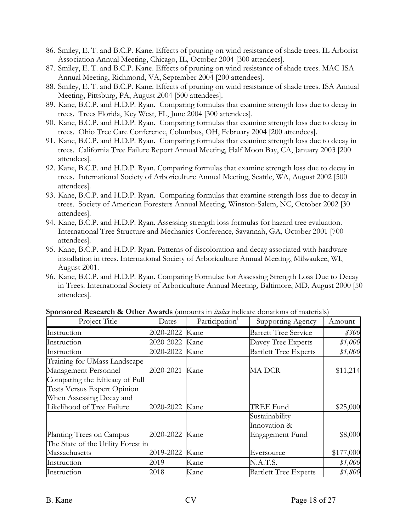- 86. Smiley, E. T. and B.C.P. Kane. Effects of pruning on wind resistance of shade trees. IL Arborist Association Annual Meeting, Chicago, IL, October 2004 [300 attendees].
- 87. Smiley, E. T. and B.C.P. Kane. Effects of pruning on wind resistance of shade trees. MAC-ISA Annual Meeting, Richmond, VA, September 2004 [200 attendees].
- 88. Smiley, E. T. and B.C.P. Kane. Effects of pruning on wind resistance of shade trees. ISA Annual Meeting, Pittsburg, PA, August 2004 [500 attendees].
- 89. Kane, B.C.P. and H.D.P. Ryan. Comparing formulas that examine strength loss due to decay in trees. Trees Florida, Key West, FL, June 2004 [300 attendees].
- 90. Kane, B.C.P. and H.D.P. Ryan. Comparing formulas that examine strength loss due to decay in trees. Ohio Tree Care Conference, Columbus, OH, February 2004 [200 attendees].
- 91. Kane, B.C.P. and H.D.P. Ryan. Comparing formulas that examine strength loss due to decay in trees. California Tree Failure Report Annual Meeting, Half Moon Bay, CA, January 2003 [200 attendees].
- 92. Kane, B.C.P. and H.D.P. Ryan. Comparing formulas that examine strength loss due to decay in trees. International Society of Arboriculture Annual Meeting, Seattle, WA, August 2002 [500 attendees].
- 93. Kane, B.C.P. and H.D.P. Ryan. Comparing formulas that examine strength loss due to decay in trees. Society of American Foresters Annual Meeting, Winston-Salem, NC, October 2002 [30 attendees].
- 94. Kane, B.C.P. and H.D.P. Ryan. Assessing strength loss formulas for hazard tree evaluation. International Tree Structure and Mechanics Conference, Savannah, GA, October 2001 [700 attendees].
- 95. Kane, B.C.P. and H.D.P. Ryan. Patterns of discoloration and decay associated with hardware installation in trees. International Society of Arboriculture Annual Meeting, Milwaukee, WI, August 2001.
- 96. Kane, B.C.P. and H.D.P. Ryan. Comparing Formulae for Assessing Strength Loss Due to Decay in Trees. International Society of Arboriculture Annual Meeting, Baltimore, MD, August 2000 [50 attendees].

| Project Title                      | Dates     | Participation <sup>1</sup> | Supporting Agency            | Amount    |
|------------------------------------|-----------|----------------------------|------------------------------|-----------|
| Instruction                        | 2020-2022 | Kane                       | <b>Barrett Tree Service</b>  | \$300     |
| Instruction                        | 2020-2022 | Kane                       | Davey Tree Experts           | \$1,000   |
| Instruction                        | 2020-2022 | Kane                       | <b>Bartlett Tree Experts</b> | \$1,000   |
| Training for UMass Landscape       |           |                            |                              |           |
| Management Personnel               | 2020-2021 | Kane                       | <b>MADCR</b>                 | \$11,214  |
| Comparing the Efficacy of Pull     |           |                            |                              |           |
| Tests Versus Expert Opinion        |           |                            |                              |           |
| When Assessing Decay and           |           |                            |                              |           |
| Likelihood of Tree Failure         | 2020-2022 | Kane                       | TREE Fund                    | \$25,000  |
|                                    |           |                            | Sustainability               |           |
|                                    |           |                            | Innovation &                 |           |
| Planting Trees on Campus           | 2020-2022 | Kane                       | Engagement Fund              | \$8,000   |
| The State of the Utility Forest in |           |                            |                              |           |
| Massachusetts                      | 2019-2022 | Kane                       | Eversource                   | \$177,000 |
| Instruction                        | 2019      | Kane                       | N.A.T.S.                     | \$1,000   |
| Instruction                        | 2018      | Kane                       | <b>Bartlett Tree Experts</b> | \$1,800   |

### **Sponsored Research & Other Awards** (amounts in *italics* indicate donations of materials)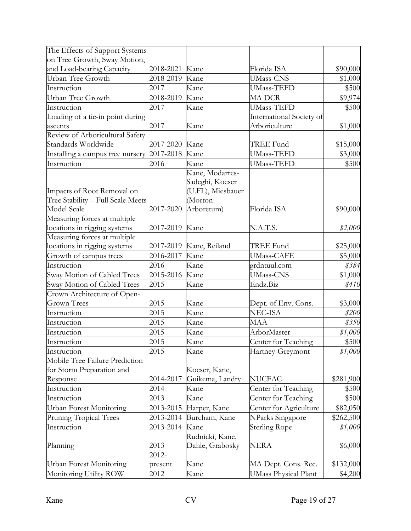| The Effects of Support Systems                                  |           |                                                                    |                             |           |
|-----------------------------------------------------------------|-----------|--------------------------------------------------------------------|-----------------------------|-----------|
| on Tree Growth, Sway Motion,                                    |           |                                                                    |                             |           |
| and Load-bearing Capacity                                       | 2018-2021 | Kane                                                               | Florida ISA                 | \$90,000  |
| Urban Tree Growth                                               | 2018-2019 | Kane                                                               | <b>UMass-CNS</b>            | \$1,000   |
| Instruction                                                     | 2017      | Kane                                                               | <b>UMass-TEFD</b>           | \$500     |
| Urban Tree Growth                                               | 2018-2019 | Kane                                                               | <b>MADCR</b>                | \$9,974   |
| Instruction                                                     | 2017      | Kane                                                               | <b>UMass-TEFD</b>           | \$500     |
| Loading of a tie-in point during                                |           |                                                                    | International Society of    |           |
| ascents                                                         | 2017      | Kane                                                               | Arboriculture               | \$1,000   |
| Review of Arboricultural Safety                                 |           |                                                                    |                             |           |
| Standards Worldwide                                             | 2017-2020 | Kane                                                               | TREE Fund                   | \$15,000  |
| Installing a campus tree nursery                                | 2017-2018 | Kane                                                               | <b>UMass-TEFD</b>           | \$3,000   |
| Instruction                                                     | 2016      | Kane                                                               | <b>UMass-TEFD</b>           | \$500     |
| Impacts of Root Removal on<br>Tree Stability - Full Scale Meets |           | Kane, Modarres-<br>Sadeghi, Koeser<br>(U.FL), Miesbauer<br>(Morton |                             |           |
| Model Scale                                                     | 2017-2020 | Arboretum)                                                         | Florida ISA                 | \$90,000  |
| Measuring forces at multiple                                    |           |                                                                    |                             |           |
| locations in rigging systems                                    | 2017-2019 | Kane                                                               | N.A.T.S.                    | \$2,000   |
| Measuring forces at multiple                                    |           |                                                                    |                             |           |
| locations in rigging systems                                    | 2017-2019 | Kane, Reiland                                                      | <b>TREE Fund</b>            | \$25,000  |
| Growth of campus trees                                          | 2016-2017 | Kane                                                               | <b>UMass-CAFE</b>           | \$5,000   |
| Instruction                                                     | 2016      | Kane                                                               | grdntuul.com                | \$384     |
| Sway Motion of Cabled Trees                                     | 2015-2016 | Kane                                                               | <b>UMass-CNS</b>            | \$1,000   |
| Sway Motion of Cabled Trees                                     | 2015      | Kane                                                               | Endz.Biz                    | \$410     |
| Crown Architecture of Open-                                     |           |                                                                    |                             |           |
| <b>Grown Trees</b>                                              | 2015      | Kane                                                               | Dept. of Env. Cons.         | \$3,000   |
| Instruction                                                     | 2015      | Kane                                                               | NEC-ISA                     | \$200     |
| Instruction                                                     | 2015      | Kane                                                               | MAA                         | \$350     |
| Instruction                                                     | 2015      | Kane                                                               | ArborMaster                 | \$1,000   |
| Instruction                                                     | 2015      | Kane                                                               | Center for Teaching         | \$500     |
| Instruction                                                     | 2015      | Kane                                                               | Hartney-Greymont            | \$1,000   |
| Mobile Tree Failure Prediction                                  |           |                                                                    |                             |           |
| for Storm Preparation and                                       |           | Koeser, Kane,                                                      |                             |           |
| Response                                                        | 2014-2017 | Guikema, Landry                                                    | <b>NUCFAC</b>               | \$281,900 |
| Instruction                                                     | 2014      | Kane                                                               | Center for Teaching         | \$500     |
| Instruction                                                     | 2013      | Kane                                                               | Center for Teaching         | \$500     |
| <b>Urban Forest Monitoring</b>                                  | 2013-2015 | Harper, Kane                                                       | Center for Agriculture      | \$82,050  |
| Pruning Tropical Trees                                          | 2013-2014 | Burcham, Kane                                                      | NParks Singapore            | \$262,500 |
| Instruction                                                     | 2013-2014 | Kane                                                               | <b>Sterling Rope</b>        | \$1,000   |
| Planning                                                        | 2013      | Rudnicki, Kane,<br>Dahle, Grabosky                                 | NERA                        | \$6,000   |
|                                                                 | 2012-     |                                                                    |                             |           |
| Urban Forest Monitoring                                         | present   | Kane                                                               | MA Dept. Cons. Rec.         | \$132,000 |
| Monitoring Utility ROW                                          | 2012      | Kane                                                               | <b>UMass Physical Plant</b> | \$4,200   |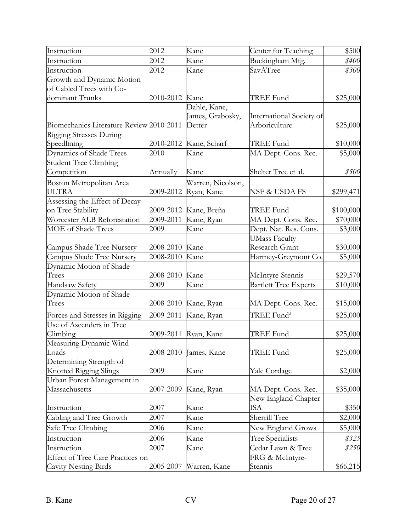| Instruction                              | 2012      | Kane              | Center for Teaching          | \$500               |
|------------------------------------------|-----------|-------------------|------------------------------|---------------------|
| Instruction                              | 2012      | Kane              | Buckingham Mfg.              | <i><b>\$400</b></i> |
| Instruction                              | 2012      | Kane              | SavATree                     | \$300               |
| Growth and Dynamic Motion                |           |                   |                              |                     |
| of Cabled Trees with Co-                 |           |                   |                              |                     |
| dominant Trunks                          | 2010-2012 | Kane              | TREE Fund                    | \$25,000            |
|                                          |           | Dahle, Kane,      |                              |                     |
|                                          |           | James, Grabosky,  | International Society of     |                     |
| Biomechanics Literature Review 2010-2011 |           | Detter            | Arboriculture                | \$25,000            |
| Rigging Stresses During                  |           |                   |                              |                     |
| Speedlining                              | 2010-2012 | Kane, Scharf      | TREE Fund                    | \$10,000            |
| Dynamics of Shade Trees                  | 2010      | Kane              | MA Dept. Cons. Rec.          | \$5,000             |
| <b>Student Tree Climbing</b>             |           |                   |                              |                     |
| Competition                              | Annually  | Kane              | Shelter Tree et al.          | \$500               |
| Boston Metropolitan Area                 |           | Warren, Nicolson, |                              |                     |
| <b>ULTRA</b>                             | 2009-2012 | Ryan, Kane        | NSF & USDA FS                | \$299,471           |
| Assessing the Effect of Decay            |           |                   |                              |                     |
| on Tree Stability                        | 2009-2012 | Kane, Breña       | TREE Fund                    | \$100,000           |
| Worcester ALB Reforestation              | 2009-2011 | Kane, Ryan        | MA Dept. Cons. Rec.          | \$70,000            |
| MOE of Shade Trees                       | 2009      | Kane              | Dept. Nat. Res. Cons.        | \$3,000             |
|                                          |           |                   | UMass Faculty                |                     |
| Campus Shade Tree Nursery                | 2008-2010 | Kane              | Research Grant               | \$30,000            |
| Campus Shade Tree Nursery                | 2008-2010 | Kane              | Hartney-Greymont Co.         | \$5,000             |
| Dynamic Motion of Shade                  |           |                   |                              |                     |
| Trees                                    | 2008-2010 | Kane              | McIntyre-Stennis             | \$29,570            |
| Handsaw Safety                           | 2009      | Kane              | <b>Bartlett Tree Experts</b> | \$10,000            |
| Dynamic Motion of Shade                  |           |                   |                              |                     |
| Trees                                    | 2008-2010 | Kane, Ryan        | MA Dept. Cons. Rec.          | \$15,000            |
| Forces and Stresses in Rigging           | 2009-2011 | Kane, Ryan        | TREE Fund <sup>3</sup>       | \$25,000            |
| Use of Ascenders in Tree                 |           |                   |                              |                     |
| Climbing                                 | 2009-2011 | Ryan, Kane        | TREE Fund                    | \$25,000            |
| Measuring Dynamic Wind                   |           |                   |                              |                     |
| Loads                                    | 2008-2010 | James, Kane       | TREE Fund                    | \$25,000            |
| Determining Strength of                  |           |                   |                              |                     |
| Knotted Rigging Slings                   | 2009      | Kane              | Yale Cordage                 | \$2,000             |
| Urban Forest Management in               |           |                   |                              |                     |
| Massachusetts                            | 2007-2009 | Kane, Ryan        | MA Dept. Cons. Rec.          | \$35,000            |
|                                          |           |                   | New England Chapter          |                     |
| Instruction                              | 2007      | Kane              | ISA                          | \$350               |
| Cabling and Tree Growth                  | 2007      | Kane              | Sherrill Tree                | \$2,000             |
| Safe Tree Climbing                       | 2006      | Kane              | New England Grows            | \$5,000             |
| Instruction                              | 2006      | Kane              | Tree Specialists             | \$325               |
| Instruction                              | 2007      | Kane              | Cedar Lawn & Tree            | \$250               |
| <b>Effect of Tree Care Practices on</b>  |           |                   | FRG & McIntyre-              |                     |
| Cavity Nesting Birds                     | 2005-2007 | Warren, Kane      | Stennis                      | \$66,215            |
|                                          |           |                   |                              |                     |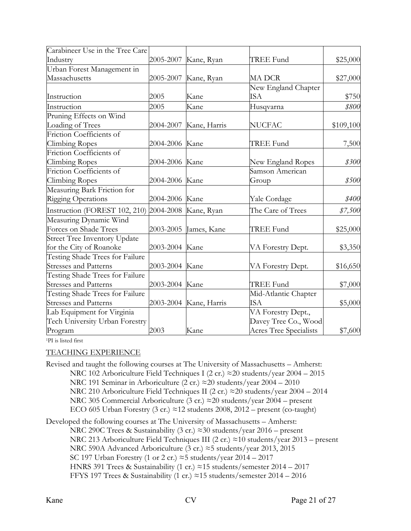| Carabineer Use in the Tree Care |                |                        |                        |           |
|---------------------------------|----------------|------------------------|------------------------|-----------|
| Industry                        | 2005-2007      | Kane, Ryan             | TREE Fund              | \$25,000  |
| Urban Forest Management in      |                |                        |                        |           |
| Massachusetts                   | 2005-2007      | Kane, Ryan             | MA DCR                 | \$27,000  |
|                                 |                |                        | New England Chapter    |           |
| Instruction                     | 2005           | Kane                   | ISA                    | \$750     |
| Instruction                     | 2005           | Kane                   | Husqvarna              | \$800     |
| Pruning Effects on Wind         |                |                        |                        |           |
| Loading of Trees                | 2004-2007      | Kane, Harris           | <b>NUCFAC</b>          | \$109,100 |
| Friction Coefficients of        |                |                        |                        |           |
| Climbing Ropes                  | 2004-2006      | Kane                   | TREE Fund              | 7,500     |
| Friction Coefficients of        |                |                        |                        |           |
| Climbing Ropes                  | 2004-2006      | Kane                   | New England Ropes      | \$300     |
| Friction Coefficients of        |                |                        | Samson American        |           |
| Climbing Ropes                  | 2004-2006      | Kane                   | Group                  | \$500     |
| Measuring Bark Friction for     |                |                        |                        |           |
| <b>Rigging Operations</b>       | 2004-2006      | Kane                   | Yale Cordage           | \$400     |
| Instruction (FOREST 102, 210)   | 2004-2008      | Kane, Ryan             | The Care of Trees      | \$7,500   |
| Measuring Dynamic Wind          |                |                        |                        |           |
| Forces on Shade Trees           | 2003-2005      | James, Kane            | <b>TREE Fund</b>       | \$25,000  |
| Street Tree Inventory Update    |                |                        |                        |           |
| for the City of Roanoke         | 2003-2004      | Kane                   | VA Forestry Dept.      | \$3,350   |
| Testing Shade Trees for Failure |                |                        |                        |           |
| <b>Stresses and Patterns</b>    | 2003-2004 Kane |                        | VA Forestry Dept.      | \$16,650  |
| Testing Shade Trees for Failure |                |                        |                        |           |
| <b>Stresses and Patterns</b>    | 2003-2004      | Kane                   | TREE Fund              | \$7,000   |
| Testing Shade Trees for Failure |                |                        | Mid-Atlantic Chapter   |           |
| <b>Stresses and Patterns</b>    |                | 2003-2004 Kane, Harris | ISA                    | \$5,000   |
| Lab Equipment for Virginia      |                |                        | VA Forestry Dept.,     |           |
| Tech University Urban Forestry  |                |                        | Davey Tree Co., Wood   |           |
| Program                         | 2003           | Kane                   | Acres Tree Specialists | \$7,600   |

1PI is listed first

### TEACHING EXPERIENCE

Revised and taught the following courses at The University of Massachusetts – Amherst: NRC 102 Arboriculture Field Techniques I (2 cr.) ≈20 students/year 2004 – 2015 NRC 191 Seminar in Arboriculture (2 cr.) ≈20 students/year 2004 – 2010 NRC 210 Arboriculture Field Techniques II (2 cr.)  $\approx$  20 students/year 2004 – 2014 NRC 305 Commercial Arboriculture (3 cr.) ≈20 students/year 2004 – present ECO 605 Urban Forestry (3 cr.)  $\approx$  12 students 2008, 2012 – present (co-taught)

Developed the following courses at The University of Massachusetts – Amherst:

NRC 290C Trees & Sustainability (3 cr.) ≈30 students/year 2016 – present NRC 213 Arboriculture Field Techniques III (2 cr.) ≈10 students/year 2013 – present NRC 590A Advanced Arboriculture (3 cr.) ≈5 students/year 2013, 2015 SC 197 Urban Forestry (1 or 2 cr.)  $\approx$  5 students/year 2014 – 2017 HNRS 391 Trees & Sustainability (1 cr.) ≈15 students/semester 2014 – 2017 FFYS 197 Trees & Sustainability (1 cr.)  $\approx$ 15 students/semester 2014 – 2016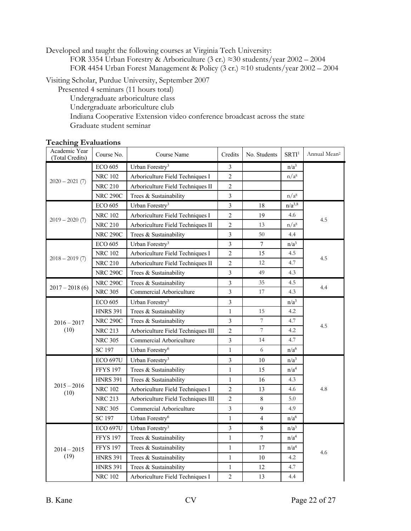Developed and taught the following courses at Virginia Tech University:

FOR 3354 Urban Forestry & Arboriculture (3 cr.) ≈30 students/year 2002 – 2004 FOR 4454 Urban Forest Management & Policy (3 cr.) ≈10 students/year 2002 – 2004

Visiting Scholar, Purdue University, September 2007

Presented 4 seminars (11 hours total)

Undergraduate arboriculture class

Undergraduate arboriculture club

Indiana Cooperative Extension video conference broadcast across the state

Graduate student seminar

## **Teaching Evaluations**

| Academic Year<br>(Total Credits)   | Course No.      | Course Name                        | Credits        | No. Students     | SRTI <sup>1</sup> | Annual Mean <sup>2</sup> |  |
|------------------------------------|-----------------|------------------------------------|----------------|------------------|-------------------|--------------------------|--|
|                                    | <b>ECO 605</b>  | Urban Forestry <sup>3</sup>        | $\mathfrak{Z}$ |                  | n/a <sup>3</sup>  |                          |  |
|                                    | <b>NRC 102</b>  | Arboriculture Field Techniques I   | $\overline{2}$ |                  | n/a <sup>8</sup>  |                          |  |
| $2020 - 2021(7)$                   | <b>NRC 210</b>  | Arboriculture Field Techniques II  | $\overline{2}$ |                  |                   |                          |  |
|                                    | <b>NRC 290C</b> | Trees & Sustainability             | 3              |                  | n/a <sup>8</sup>  |                          |  |
|                                    | <b>ECO 605</b>  | Urban Forestry <sup>3</sup>        | $\mathfrak{Z}$ | 18               | $n/a^{3,8}$       |                          |  |
|                                    | <b>NRC 102</b>  | Arboriculture Field Techniques I   | $\overline{c}$ | 19               | 4.6               |                          |  |
| $2019 - 2020(7)$                   | <b>NRC 210</b>  | Arboriculture Field Techniques II  | $\overline{2}$ | 13               | n/a <sup>8</sup>  | 4.5                      |  |
|                                    | <b>NRC 290C</b> | Trees & Sustainability             | $\overline{3}$ | 50               | 4.4               |                          |  |
|                                    | <b>ECO 605</b>  | Urban Forestry <sup>3</sup>        | 3              | 7                | n/a <sup>3</sup>  |                          |  |
|                                    | <b>NRC 102</b>  | Arboriculture Field Techniques I   | $\overline{2}$ | 15               | 4.5               |                          |  |
| $2018 - 2019(7)$                   | <b>NRC 210</b>  | Arboriculture Field Techniques II  | $\overline{2}$ | 12               | 4.7               | 4.5                      |  |
|                                    | <b>NRC 290C</b> | Trees & Sustainability             | 3              | 49               | 4.3               |                          |  |
|                                    | <b>NRC 290C</b> | Trees & Sustainability             | $\mathfrak{Z}$ | 35               | 4.5               |                          |  |
| $2017 - 2018(6)$<br><b>NRC 305</b> |                 | Commercial Arboriculture           | $\overline{3}$ | 17               | 4.3               | 4.4                      |  |
|                                    | ECO 605         | Urban Forestry <sup>3</sup>        | 3              |                  | $n/a^3$           |                          |  |
| $2016 - 2017$                      | <b>HNRS 391</b> | Trees & Sustainability             | $\mathbf{1}$   | 15               | 4.2               |                          |  |
|                                    | <b>NRC 290C</b> | Trees & Sustainability             | $\overline{3}$ | $\overline{7}$   | 4.7               | 4.5                      |  |
| (10)<br><b>NRC 213</b>             |                 | Arboriculture Field Techniques III | $\overline{2}$ | $\boldsymbol{7}$ | 4.2               |                          |  |
|                                    | <b>NRC 305</b>  | Commercial Arboriculture           | 3              | 14               | 4.7               |                          |  |
|                                    | <b>SC 197</b>   | Urban Forestry <sup>6</sup>        | $\mathbf{1}$   | 6                | n/a <sup>6</sup>  |                          |  |
|                                    | <b>ECO 697U</b> | Urban Forestry <sup>3</sup>        | 3              | 10               | n/a <sup>3</sup>  |                          |  |
|                                    | <b>FFYS 197</b> | Trees & Sustainability             | $\mathbf{1}$   | 15               | n/a <sup>4</sup>  |                          |  |
|                                    | <b>HNRS 391</b> | Trees & Sustainability             | $\mathbf{1}$   | 16               | 4.3               |                          |  |
| $2015 - 2016$<br>(10)              | <b>NRC 102</b>  | Arboriculture Field Techniques I   | $\overline{2}$ | 13               | 4.6               | 4.8                      |  |
|                                    | <b>NRC 213</b>  | Arboriculture Field Techniques III | $\sqrt{2}$     | $\,8\,$          | 5.0               |                          |  |
|                                    | <b>NRC 305</b>  | Commercial Arboriculture           | 3              | 9                | 4.9               |                          |  |
|                                    | <b>SC 197</b>   | Urban Forestry <sup>6</sup>        | $\mathbf{1}$   | $\overline{4}$   | n/a <sup>6</sup>  |                          |  |
|                                    | <b>ECO 697U</b> | Urban Forestry <sup>3</sup>        | 3              | $\,8\,$          | n/a <sup>3</sup>  |                          |  |
|                                    | <b>FFYS 197</b> | Trees & Sustainability             | $\mathbf{1}$   | $\tau$           | n/a <sup>4</sup>  |                          |  |
| $2014 - 2015$                      | <b>FFYS 197</b> | Trees & Sustainability             | $\mathbf{1}$   | 17               | n/a <sup>4</sup>  |                          |  |
| (19)                               | <b>HNRS 391</b> | Trees & Sustainability             | $\mathbf{1}$   | 10               | 4.2               | 4.6                      |  |
|                                    | <b>HNRS 391</b> | Trees & Sustainability             | 1              | 12               | 4.7               |                          |  |
|                                    | <b>NRC 102</b>  | Arboriculture Field Techniques I   | $\sqrt{2}$     | 13               | 4.4               |                          |  |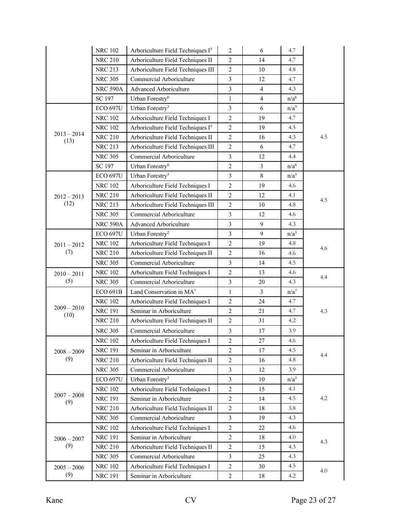|                      | <b>NRC 102</b>  | Arboriculture Field Techniques I <sup>5</sup> | $\overline{2}$ | 6              | 4.7              |     |
|----------------------|-----------------|-----------------------------------------------|----------------|----------------|------------------|-----|
|                      | <b>NRC 210</b>  | Arboriculture Field Techniques II             | $\overline{2}$ | 14             | 4.7              |     |
|                      | <b>NRC 213</b>  | Arboriculture Field Techniques III            | $\sqrt{2}$     | 10             | 4.8              |     |
|                      | <b>NRC 305</b>  | Commercial Arboriculture                      | $\mathfrak{Z}$ | 12             | 4.7              |     |
|                      | <b>NRC 590A</b> | Advanced Arboriculture                        | $\mathfrak{Z}$ | 4              | 4.3              |     |
|                      | SC 197          | Urban Forestry <sup>6</sup>                   | 1              | $\overline{4}$ | n/a <sup>6</sup> |     |
|                      | <b>ECO 697U</b> | Urban Forestry <sup>3</sup>                   | $\mathfrak{Z}$ | 6              | n/a <sup>3</sup> |     |
|                      | <b>NRC 102</b>  | Arboriculture Field Techniques I              | $\sqrt{2}$     | 19             | 4.7              |     |
|                      | <b>NRC 102</b>  | Arboriculture Field Techniques I <sup>5</sup> | $\overline{2}$ | 19             | 4.5              |     |
| $2013 - 2014$        | <b>NRC 210</b>  | Arboriculture Field Techniques II             | $\overline{c}$ | 16             | 4.3              | 4.5 |
| (13)                 | <b>NRC 213</b>  | Arboriculture Field Techniques III            | $\overline{2}$ | 6              | 4.7              |     |
|                      | <b>NRC 305</b>  | Commercial Arboriculture                      | $\mathfrak{Z}$ | 12             | 4.4              |     |
|                      | SC 197          | Urban Forestry <sup>6</sup>                   | $\sqrt{2}$     | 3              | n/a <sup>6</sup> |     |
|                      | <b>ECO 697U</b> | Urban Forestry <sup>3</sup>                   | $\overline{3}$ | 8              | $n/a^3$          |     |
|                      | <b>NRC 102</b>  | Arboriculture Field Techniques I              | $\overline{c}$ | 19             | 4.6              |     |
| $2012 - 2013$        | <b>NRC 210</b>  | Arboriculture Field Techniques II             | $\overline{2}$ | 12             | 4.1              |     |
| (12)                 | <b>NRC 213</b>  | Arboriculture Field Techniques III            | $\overline{2}$ | 10             | 4.8              | 4.5 |
|                      | <b>NRC 305</b>  | Commercial Arboriculture                      | 3              | 12             | 4.6              |     |
|                      | <b>NRC 590A</b> | Advanced Arboriculture                        | $\mathfrak{Z}$ | 9              | 4.3              |     |
|                      | <b>ECO 697U</b> | Urban Forestry <sup>2</sup>                   | $\mathfrak{Z}$ | 9              | n/a <sup>3</sup> |     |
| $2011 - 2012$        | <b>NRC 102</b>  | Arboriculture Field Techniques I              | $\overline{2}$ | 19             | 4.8              |     |
| (7)                  | <b>NRC 210</b>  | Arboriculture Field Techniques II             | $\overline{2}$ | 16             | 4.6              | 4.6 |
|                      | <b>NRC 305</b>  | Commercial Arboriculture                      | 3              | 14             | 4.5              |     |
| $2010 - 2011$        | <b>NRC 102</b>  | Arboriculture Field Techniques I              | $\overline{2}$ | 13             | 4.6              |     |
| (5)                  | <b>NRC 305</b>  | Commercial Arboriculture                      | $\mathfrak{Z}$ | 20             | 4.3              | 4.4 |
|                      | <b>ECO 691B</b> | Land Conservation in MA <sup>7</sup>          | 1              | 3              | $n/a^7$          |     |
|                      | <b>NRC 102</b>  | Arboriculture Field Techniques I              | $\overline{2}$ | 24             | 4.7              |     |
| $2009 - 2010$        | <b>NRC 191</b>  | Seminar in Arboriculture                      | $\sqrt{2}$     | 21             | 4.7              | 4.3 |
| (10)                 | <b>NRC 210</b>  | Arboriculture Field Techniques II             | $\overline{2}$ | 31             | 4.2              |     |
|                      | <b>NRC 305</b>  | Commercial Arboriculture                      | 3              | 17             | 3.9              |     |
|                      | <b>NRC 102</b>  | Arboriculture Field Techniques I              | $\overline{2}$ | 27             | 4.6              |     |
| $2008 - 2009$        | <b>NRC 191</b>  | Seminar in Arboriculture                      | $\overline{c}$ | 17             | 4.5              |     |
| (9)                  | <b>NRC 210</b>  | Arboriculture Field Techniques II             | 2              | 16             | 4.8              | 4.4 |
|                      | <b>NRC 305</b>  | Commercial Arboriculture                      | 3              | 12             | 3.9              |     |
|                      | <b>ECO 697U</b> | Urban Forestry <sup>3</sup>                   | 3              | 10             | n/a <sup>3</sup> |     |
|                      | <b>NRC 102</b>  | Arboriculture Field Techniques I              | $\overline{2}$ | 15             | 4.1              |     |
| $2007 - 2008$<br>(9) | <b>NRC 191</b>  | Seminar in Arboriculture                      | $\overline{c}$ | 14             | 4.5              | 4.2 |
|                      | <b>NRC 210</b>  | Arboriculture Field Techniques II             | $\overline{2}$ | 18             | 3.8              |     |
|                      | <b>NRC 305</b>  | Commercial Arboriculture                      | 3              | 19             | 4.3              |     |
|                      | <b>NRC 102</b>  | Arboriculture Field Techniques I              | $\overline{c}$ | 22             | 4.6              |     |
| $2006 - 2007$        | <b>NRC 191</b>  | Seminar in Arboriculture                      | $\overline{2}$ | 18             | 4.0              |     |
| (9)                  | <b>NRC 210</b>  | Arboriculture Field Techniques II             | $\overline{c}$ | 15             | 4.3              | 4.3 |
|                      | <b>NRC 305</b>  | Commercial Arboriculture                      | 3              | 25             | 4.3              |     |
| $2005 - 2006$        | <b>NRC 102</b>  | Arboriculture Field Techniques I              | $\mathbf{2}$   | 30             | 4.5              |     |
| (9)                  | <b>NRC 191</b>  | Seminar in Arboriculture                      | $\overline{c}$ | 18             | 4.2              | 4.0 |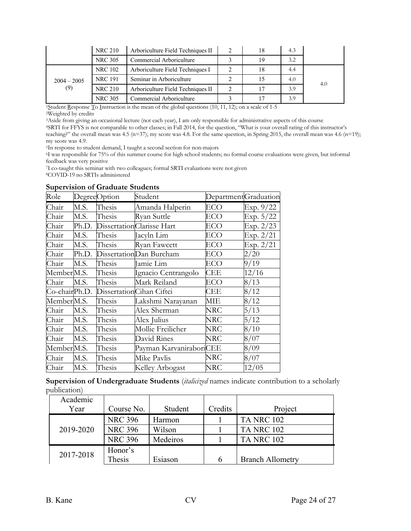|                      | <b>NRC 210</b> | Arboriculture Field Techniques II |               | 18 | 4.3 |     |
|----------------------|----------------|-----------------------------------|---------------|----|-----|-----|
|                      | <b>NRC 305</b> | Commercial Arboriculture          |               | 19 | 3.2 |     |
|                      | <b>NRC 102</b> | Arboriculture Field Techniques I  |               | 18 | 4.4 |     |
| $2004 - 2005$<br>(9) | <b>NRC 191</b> | Seminar in Arboriculture          |               | 15 | 4.0 | 4.0 |
|                      | <b>NRC 210</b> | Arboriculture Field Techniques II | $\mathcal{P}$ | 17 | 3.9 |     |
|                      | NRC 305        | Commercial Arboriculture          |               |    | 3.9 |     |

<sup>1</sup>Student <u>R</u>esponse <u>T</u>o Instruction is the mean of the global questions (10, 11, 12); on a scale of 1-5 <sup>2</sup>Weighted by credits

<sup>3</sup>Aside from giving an occasional lecture (not each year), I am only responsible for administrative aspects of this course <sup>4</sup>SRTI for FFYS is not comparable to other classes; in Fall 2014, for the question, "What is your

teaching?" the overall mean was 4.5 (n=37); my score was 4.8. For the same question, in Spring 2015, the overall mean was 4.6 (n=19); my score was 4.9.<br><sup>5</sup>In response to student demand, I taught a second section for non-majors

<sup>6</sup>I was responsible for 75% of this summer course for high school students; no formal course evaluations were given, but informal feedback was very positive

7I co-taught this seminar with two colleagues; formal SRTI evaluations were not given

8COVID-19 no SRTIs administered

#### **Supervision of Graduate Students**

| Role                   |       | DegreeOption | Student                   | DepartmentGraduation |           |
|------------------------|-------|--------------|---------------------------|----------------------|-----------|
| Chair                  | M.S.  | Thesis       | Amanda Halperin           | ECO                  | Exp. 9/22 |
| Chair                  | M.S.  | Thesis       | Ryan Suttle               | ECO                  | Exp. 5/22 |
| Chair                  | Ph.D. |              | DissertationClarisse Hart | ECO                  | Exp. 2/23 |
| Chair                  | M.S.  | Thesis       | Jacyln Lim                | ECO                  | Exp. 2/21 |
| Chair                  | M.S.  | Thesis       | Ryan Fawcett              | ECO                  | Exp. 2/21 |
| Chair                  | Ph.D. |              | DissertationDan Burcham   | ECO                  | 2/20      |
| Chair                  | M.S.  | Thesis       | Jamie Lim                 | ECO                  | 9/19      |
| Member <sub>M.S.</sub> |       | Thesis       | Ignacio Centrangolo       | <b>CEE</b>           | 12/16     |
| Chair                  | M.S.  | Thesis       | Mark Reiland              | ECO                  | 8/13      |
| Co-chairPh.D.          |       |              | DissertationCihan Ciftci  | CEE                  | 8/12      |
| Member <sub>M.S.</sub> |       | Thesis       | Lakshmi Narayanan         | MІE                  | 8/12      |
| Chair                  | M.S.  | Thesis       | Alex Sherman              | NRC                  | 5/13      |
| Chair                  | M.S.  | Thesis       | Alex Julius               | NRC                  | 5/12      |
| Chair                  | M.S.  | Thesis       | Mollie Freilicher         | NRC                  | 8/10      |
| Chair                  | M.S.  | Thesis       | David Rines               | NRC                  | 8/07      |
| Member M.S.            |       | Thesis       | Payman KarvaniraboriCEE   |                      | 8/09      |
| Chair                  | M.S.  | Thesis       | Mike Pavlis               | NRC                  | 8/07      |
| Chair                  | M.S.  | Thesis       | Kelley Arbogast           | NRC                  | 12/05     |

**Supervision of Undergraduate Students** (*italicized* names indicate contribution to a scholarly publication)

| Academic  |                |          |         |                         |
|-----------|----------------|----------|---------|-------------------------|
| Year      | Course No.     | Student  | Credits | Project                 |
|           | <b>NRC 396</b> | Harmon   |         | <b>TA NRC 102</b>       |
| 2019-2020 | <b>NRC 396</b> | Wilson   |         | <b>TA NRC 102</b>       |
|           | <b>NRC 396</b> | Medeiros |         | <b>TA NRC 102</b>       |
| 2017-2018 | Honor's        |          |         |                         |
|           | Thesis         | Esiason  |         | <b>Branch Allometry</b> |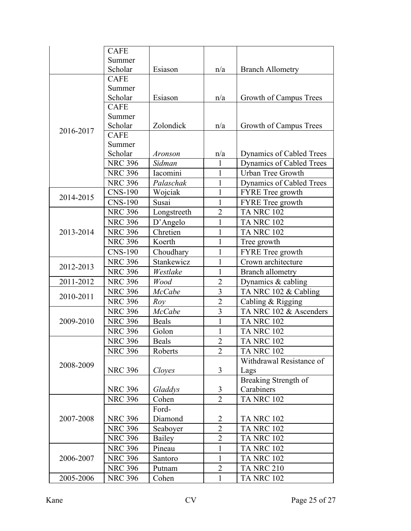|           | <b>CAFE</b>    |               |                |                          |
|-----------|----------------|---------------|----------------|--------------------------|
|           | Summer         |               |                |                          |
|           | Scholar        | Esiason       | n/a            | <b>Branch Allometry</b>  |
|           | <b>CAFE</b>    |               |                |                          |
|           | Summer         |               |                |                          |
|           | Scholar        | Esiason       | n/a            | Growth of Campus Trees   |
|           | <b>CAFE</b>    |               |                |                          |
|           | Summer         |               |                |                          |
|           | Scholar        | Zolondick     | n/a            | Growth of Campus Trees   |
| 2016-2017 | <b>CAFE</b>    |               |                |                          |
|           | Summer         |               |                |                          |
|           | Scholar        | Aronson       | n/a            | Dynamics of Cabled Trees |
|           | <b>NRC 396</b> | Sidman        | 1              | Dynamics of Cabled Trees |
|           | <b>NRC 396</b> | Iacomini      | $\mathbf{1}$   | <b>Urban Tree Growth</b> |
|           | <b>NRC 396</b> | Palaschak     | 1              | Dynamics of Cabled Trees |
|           | <b>CNS-190</b> | Wojciak       | 1              | <b>FYRE</b> Tree growth  |
| 2014-2015 | <b>CNS-190</b> | Susai         | 1              | <b>FYRE</b> Tree growth  |
|           | <b>NRC 396</b> | Longstreeth   | $\overline{2}$ | <b>TA NRC 102</b>        |
|           | <b>NRC 396</b> | D'Angelo      | 1              | <b>TA NRC 102</b>        |
| 2013-2014 | <b>NRC 396</b> | Chretien      | 1              | <b>TA NRC 102</b>        |
|           | <b>NRC 396</b> | Koerth        | $\mathbf{1}$   | Tree growth              |
|           | <b>CNS-190</b> | Choudhary     | $\mathbf{1}$   | FYRE Tree growth         |
|           | <b>NRC 396</b> | Stankewicz    | $\mathbf{1}$   | Crown architecture       |
| 2012-2013 | <b>NRC 396</b> | Westlake      | $\mathbf{1}$   | <b>Branch allometry</b>  |
| 2011-2012 | <b>NRC 396</b> | Wood          | $\overline{2}$ | Dynamics $&$ cabling     |
|           | <b>NRC 396</b> | <b>McCabe</b> | 3              | TA NRC 102 & Cabling     |
| 2010-2011 | <b>NRC 396</b> | Row           | $\overline{2}$ | Cabling & Rigging        |
|           | <b>NRC 396</b> | <b>McCabe</b> | 3              | TA NRC 102 & Ascenders   |
| 2009-2010 | <b>NRC 396</b> | Beals         | $\mathbf{1}$   | <b>TA NRC 102</b>        |
|           | <b>NRC 396</b> | Golon         | 1              | <b>TA NRC 102</b>        |
|           | <b>NRC 396</b> | <b>Beals</b>  | $\overline{2}$ | <b>TA NRC 102</b>        |
|           | <b>NRC 396</b> | Roberts       | $\overline{2}$ | <b>TA NRC 102</b>        |
|           |                |               |                | Withdrawal Resistance of |
| 2008-2009 | <b>NRC 396</b> | Cloyes        | 3              | Lags                     |
|           |                |               |                | Breaking Strength of     |
|           | <b>NRC 396</b> | Gladdys       | 3              | Carabiners               |
|           | <b>NRC 396</b> | Cohen         | $\overline{2}$ | <b>TA NRC 102</b>        |
|           |                | Ford-         |                |                          |
|           |                | Diamond       | 2              | <b>TA NRC 102</b>        |
| 2007-2008 | <b>NRC 396</b> |               | $\overline{2}$ |                          |
|           | <b>NRC 396</b> | Seaboyer      |                | <b>TA NRC 102</b>        |
|           | <b>NRC 396</b> | Bailey        | $\overline{2}$ | <b>TA NRC 102</b>        |
|           | <b>NRC 396</b> | Pineau        | $\mathbf 1$    | <b>TA NRC 102</b>        |
| 2006-2007 | <b>NRC 396</b> | Santoro       | 1              | <b>TA NRC 102</b>        |
|           | <b>NRC 396</b> | Putnam        | $\overline{2}$ | <b>TA NRC 210</b>        |
| 2005-2006 | <b>NRC 396</b> | Cohen         | $\mathbf{1}$   | <b>TA NRC 102</b>        |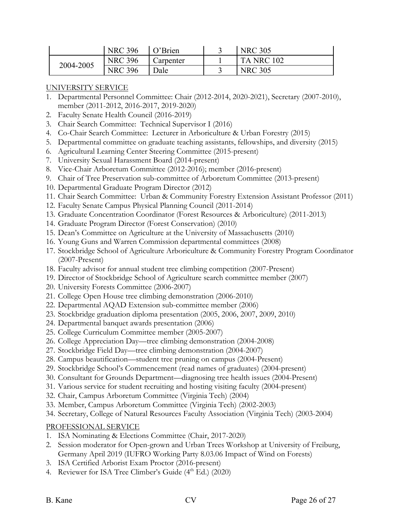|           | <b>NRC 396</b> | O'Brien   | <b>NRC 305</b>    |
|-----------|----------------|-----------|-------------------|
| 2004-2005 | <b>NRC 396</b> | Carpenter | <b>TA NRC 102</b> |
|           | <b>NRC 396</b> | Dale      | <b>NRC 305</b>    |

## UNIVERSITY SERVICE

- 1. Departmental Personnel Committee: Chair (2012-2014, 2020-2021), Secretary (2007-2010), member (2011-2012, 2016-2017, 2019-2020)
- 2. Faculty Senate Health Council (2016-2019)
- 3. Chair Search Committee: Technical Supervisor I (2016)
- 4. Co-Chair Search Committee: Lecturer in Arboriculture & Urban Forestry (2015)
- 5. Departmental committee on graduate teaching assistants, fellowships, and diversity (2015)
- 6. Agricultural Learning Center Steering Committee (2015-present)
- 7. University Sexual Harassment Board (2014-present)
- 8. Vice-Chair Arboretum Committee (2012-2016); member (2016-present)
- 9. Chair of Tree Preservation sub-committee of Arboretum Committee (2013-present)
- 10. Departmental Graduate Program Director (2012)
- 11. Chair Search Committee: Urban & Community Forestry Extension Assistant Professor (2011)
- 12. Faculty Senate Campus Physical Planning Council (2011-2014)
- 13. Graduate Concentration Coordinator (Forest Resources & Arboriculture) (2011-2013)
- 14. Graduate Program Director (Forest Conservation) (2010)
- 15. Dean's Committee on Agriculture at the University of Massachusetts (2010)
- 16. Young Guns and Warren Commission departmental committees (2008)
- 17. Stockbridge School of Agriculture Arboriculture & Community Forestry Program Coordinator (2007-Present)
- 18. Faculty advisor for annual student tree climbing competition (2007-Present)
- 19. Director of Stockbridge School of Agriculture search committee member (2007)
- 20. University Forests Committee (2006-2007)
- 21. College Open House tree climbing demonstration (2006-2010)
- 22. Departmental AQAD Extension sub-committee member (2006)
- 23. Stockbridge graduation diploma presentation (2005, 2006, 2007, 2009, 2010)
- 24. Departmental banquet awards presentation (2006)
- 25. College Curriculum Committee member (2005-2007)
- 26. College Appreciation Day—tree climbing demonstration (2004-2008)
- 27. Stockbridge Field Day—tree climbing demonstration (2004-2007)
- 28. Campus beautification—student tree pruning on campus (2004-Present)
- 29. Stockbridge School's Commencement (read names of graduates) (2004-present)
- 30. Consultant for Grounds Department—diagnosing tree health issues (2004-Present)
- 31. Various service for student recruiting and hosting visiting faculty (2004-present)
- 32. Chair, Campus Arboretum Committee (Virginia Tech) (2004)
- 33. Member, Campus Arboretum Committee (Virginia Tech) (2002-2003)
- 34. Secretary, College of Natural Resources Faculty Association (Virginia Tech) (2003-2004)

# PROFESSIONAL SERVICE

- 1. ISA Nominating & Elections Committee (Chair, 2017-2020)
- 2. Session moderator for Open-grown and Urban Trees Workshop at University of Freiburg, Germany April 2019 (IUFRO Working Party 8.03.06 Impact of Wind on Forests)
- 3. ISA Certified Arborist Exam Proctor (2016-present)
- 4. Reviewer for ISA Tree Climber's Guide (4<sup>th</sup> Ed.) (2020)